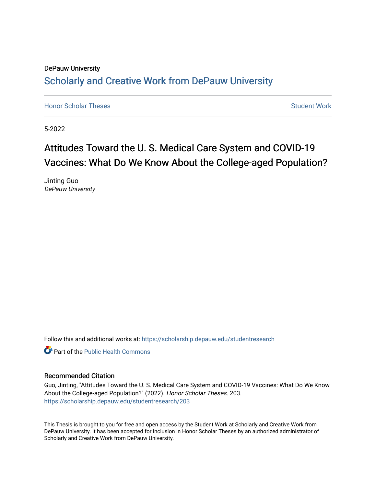## DePauw University Scholarly and [Creative Work from DePauw Univ](https://scholarship.depauw.edu/)ersity

**[Honor Scholar Theses](https://scholarship.depauw.edu/studentresearch) [Student Work](https://scholarship.depauw.edu/studentwork) Student Work Student Work** 

5-2022

# Attitudes Toward the U. S. Medical Care System and COVID-19 Vaccines: What Do We Know About the College-aged Population?

Jinting Guo DePauw University

Follow this and additional works at: [https://scholarship.depauw.edu/studentresearch](https://scholarship.depauw.edu/studentresearch?utm_source=scholarship.depauw.edu%2Fstudentresearch%2F203&utm_medium=PDF&utm_campaign=PDFCoverPages)

**C** Part of the Public Health Commons

#### Recommended Citation

Guo, Jinting, "Attitudes Toward the U. S. Medical Care System and COVID-19 Vaccines: What Do We Know About the College-aged Population?" (2022). Honor Scholar Theses. 203. [https://scholarship.depauw.edu/studentresearch/203](https://scholarship.depauw.edu/studentresearch/203?utm_source=scholarship.depauw.edu%2Fstudentresearch%2F203&utm_medium=PDF&utm_campaign=PDFCoverPages)

This Thesis is brought to you for free and open access by the Student Work at Scholarly and Creative Work from DePauw University. It has been accepted for inclusion in Honor Scholar Theses by an authorized administrator of Scholarly and Creative Work from DePauw University.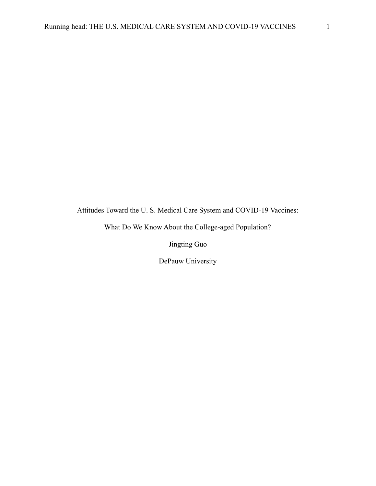Attitudes Toward the U. S. Medical Care System and COVID-19 Vaccines:

What Do We Know About the College-aged Population?

Jingting Guo

DePauw University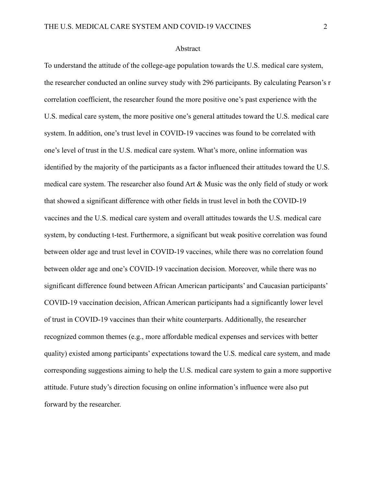#### Abstract

To understand the attitude of the college-age population towards the U.S. medical care system, the researcher conducted an online survey study with 296 participants. By calculating Pearson's r correlation coefficient, the researcher found the more positive one's past experience with the U.S. medical care system, the more positive one's general attitudes toward the U.S. medical care system. In addition, one's trust level in COVID-19 vaccines was found to be correlated with one's level of trust in the U.S. medical care system. What's more, online information was identified by the majority of the participants as a factor influenced their attitudes toward the U.S. medical care system. The researcher also found Art & Music was the only field of study or work that showed a significant difference with other fields in trust level in both the COVID-19 vaccines and the U.S. medical care system and overall attitudes towards the U.S. medical care system, by conducting t-test. Furthermore, a significant but weak positive correlation was found between older age and trust level in COVID-19 vaccines, while there was no correlation found between older age and one's COVID-19 vaccination decision. Moreover, while there was no significant difference found between African American participants' and Caucasian participants' COVID-19 vaccination decision, African American participants had a significantly lower level of trust in COVID-19 vaccines than their white counterparts. Additionally, the researcher recognized common themes (e.g., more affordable medical expenses and services with better quality) existed among participants' expectations toward the U.S. medical care system, and made corresponding suggestions aiming to help the U.S. medical care system to gain a more supportive attitude. Future study's direction focusing on online information's influence were also put forward by the researcher.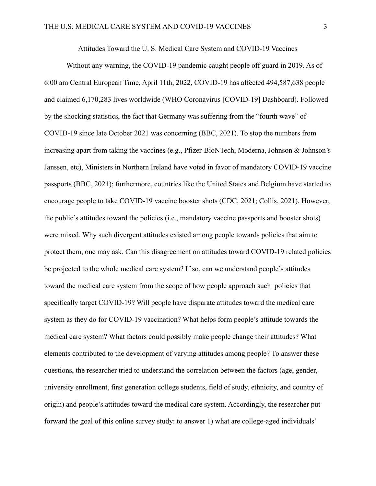Attitudes Toward the U. S. Medical Care System and COVID-19 Vaccines

Without any warning, the COVID-19 pandemic caught people off guard in 2019. As of 6:00 am Central European Time, April 11th, 2022, COVID-19 has affected 494,587,638 people and claimed 6,170,283 lives worldwide (WHO Coronavirus [COVID-19] Dashboard). Followed by the shocking statistics, the fact that Germany was suffering from the "fourth wave" of COVID-19 since late October 2021 was concerning (BBC, 2021). To stop the numbers from increasing apart from taking the vaccines (e.g., Pfizer-BioNTech, Moderna, Johnson & Johnson's Janssen, etc), Ministers in Northern Ireland have voted in favor of mandatory COVID-19 vaccine passports (BBC, 2021); furthermore, countries like the United States and Belgium have started to encourage people to take COVID-19 vaccine booster shots (CDC, 2021; Collis, 2021). However, the public's attitudes toward the policies (i.e., mandatory vaccine passports and booster shots) were mixed. Why such divergent attitudes existed among people towards policies that aim to protect them, one may ask. Can this disagreement on attitudes toward COVID-19 related policies be projected to the whole medical care system? If so, can we understand people's attitudes toward the medical care system from the scope of how people approach such policies that specifically target COVID-19? Will people have disparate attitudes toward the medical care system as they do for COVID-19 vaccination? What helps form people's attitude towards the medical care system? What factors could possibly make people change their attitudes? What elements contributed to the development of varying attitudes among people? To answer these questions, the researcher tried to understand the correlation between the factors (age, gender, university enrollment, first generation college students, field of study, ethnicity, and country of origin) and people's attitudes toward the medical care system. Accordingly, the researcher put forward the goal of this online survey study: to answer 1) what are college-aged individuals'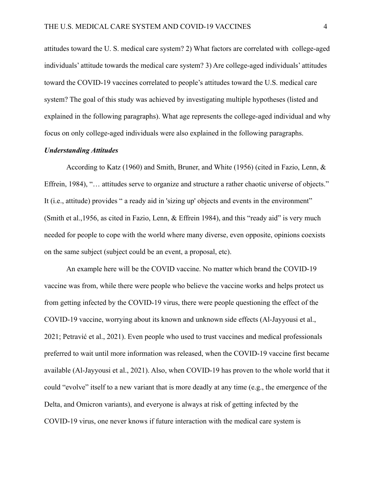attitudes toward the U. S. medical care system? 2) What factors are correlated with college-aged individuals' attitude towards the medical care system? 3) Are college-aged individuals' attitudes toward the COVID-19 vaccines correlated to people's attitudes toward the U.S. medical care system? The goal of this study was achieved by investigating multiple hypotheses (listed and explained in the following paragraphs). What age represents the college-aged individual and why focus on only college-aged individuals were also explained in the following paragraphs.

#### *Understanding Attitudes*

According to Katz (1960) and Smith, Bruner, and White (1956) (cited in Fazio, Lenn, & Effrein, 1984), "… attitudes serve to organize and structure a rather chaotic universe of objects." It (i.e., attitude) provides " a ready aid in 'sizing up' objects and events in the environment" (Smith et al.,1956, as cited in Fazio, Lenn, & Effrein 1984), and this "ready aid" is very much needed for people to cope with the world where many diverse, even opposite, opinions coexists on the same subject (subject could be an event, a proposal, etc).

An example here will be the COVID vaccine. No matter which brand the COVID-19 vaccine was from, while there were people who believe the vaccine works and helps protect us from getting infected by the COVID-19 virus, there were people questioning the effect of the COVID-19 vaccine, worrying about its known and unknown side effects (Al-Jayyousi et al., 2021; Petravić et al., 2021). Even people who used to trust vaccines and medical professionals preferred to wait until more information was released, when the COVID-19 vaccine first became available (Al-Jayyousi et al., 2021). Also, when COVID-19 has proven to the whole world that it could "evolve" itself to a new variant that is more deadly at any time (e.g., the emergence of the Delta, and Omicron variants), and everyone is always at risk of getting infected by the COVID-19 virus, one never knows if future interaction with the medical care system is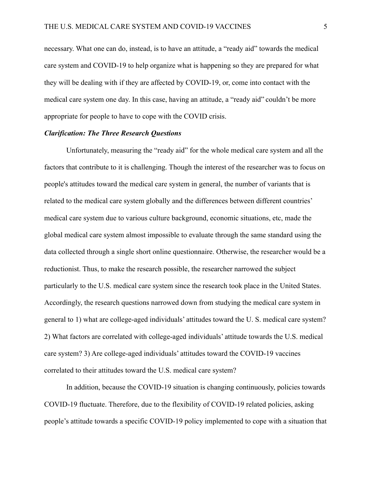necessary. What one can do, instead, is to have an attitude, a "ready aid" towards the medical care system and COVID-19 to help organize what is happening so they are prepared for what they will be dealing with if they are affected by COVID-19, or, come into contact with the medical care system one day. In this case, having an attitude, a "ready aid" couldn't be more appropriate for people to have to cope with the COVID crisis.

#### *Clarification: The Three Research Questions*

Unfortunately, measuring the "ready aid" for the whole medical care system and all the factors that contribute to it is challenging. Though the interest of the researcher was to focus on people's attitudes toward the medical care system in general, the number of variants that is related to the medical care system globally and the differences between different countries' medical care system due to various culture background, economic situations, etc, made the global medical care system almost impossible to evaluate through the same standard using the data collected through a single short online questionnaire. Otherwise, the researcher would be a reductionist. Thus, to make the research possible, the researcher narrowed the subject particularly to the U.S. medical care system since the research took place in the United States. Accordingly, the research questions narrowed down from studying the medical care system in general to 1) what are college-aged individuals' attitudes toward the U. S. medical care system? 2) What factors are correlated with college-aged individuals' attitude towards the U.S. medical care system? 3) Are college-aged individuals' attitudes toward the COVID-19 vaccines correlated to their attitudes toward the U.S. medical care system?

In addition, because the COVID-19 situation is changing continuously, policies towards COVID-19 fluctuate. Therefore, due to the flexibility of COVID-19 related policies, asking people's attitude towards a specific COVID-19 policy implemented to cope with a situation that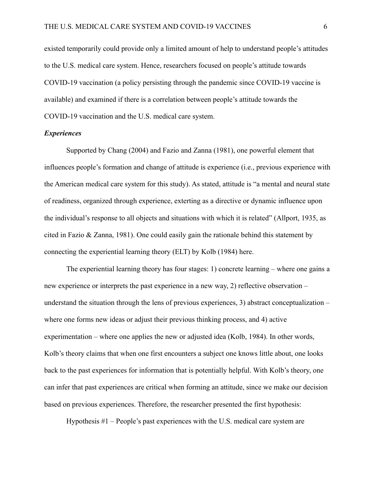existed temporarily could provide only a limited amount of help to understand people's attitudes to the U.S. medical care system. Hence, researchers focused on people's attitude towards COVID-19 vaccination (a policy persisting through the pandemic since COVID-19 vaccine is available) and examined if there is a correlation between people's attitude towards the COVID-19 vaccination and the U.S. medical care system.

#### *Experiences*

Supported by Chang (2004) and Fazio and Zanna (1981), one powerful element that influences people's formation and change of attitude is experience (i.e., previous experience with the American medical care system for this study). As stated, attitude is "a mental and neural state of readiness, organized through experience, exterting as a directive or dynamic influence upon the individual's response to all objects and situations with which it is related" (Allport, 1935, as cited in Fazio & Zanna, 1981). One could easily gain the rationale behind this statement by connecting the experiential learning theory (ELT) by Kolb (1984) here.

The experiential learning theory has four stages: 1) concrete learning – where one gains a new experience or interprets the past experience in a new way, 2) reflective observation – understand the situation through the lens of previous experiences, 3) abstract conceptualization – where one forms new ideas or adjust their previous thinking process, and 4) active experimentation – where one applies the new or adjusted idea (Kolb, 1984). In other words, Kolb's theory claims that when one first encounters a subject one knows little about, one looks back to the past experiences for information that is potentially helpful. With Kolb's theory, one can infer that past experiences are critical when forming an attitude, since we make our decision based on previous experiences. Therefore, the researcher presented the first hypothesis:

Hypothesis #1 – People's past experiences with the U.S. medical care system are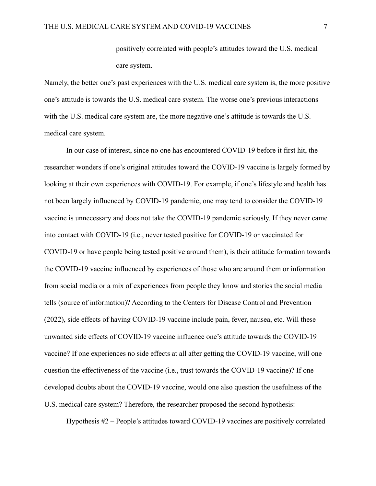positively correlated with people's attitudes toward the U.S. medical care system.

Namely, the better one's past experiences with the U.S. medical care system is, the more positive one's attitude is towards the U.S. medical care system. The worse one's previous interactions with the U.S. medical care system are, the more negative one's attitude is towards the U.S. medical care system.

In our case of interest, since no one has encountered COVID-19 before it first hit, the researcher wonders if one's original attitudes toward the COVID-19 vaccine is largely formed by looking at their own experiences with COVID-19. For example, if one's lifestyle and health has not been largely influenced by COVID-19 pandemic, one may tend to consider the COVID-19 vaccine is unnecessary and does not take the COVID-19 pandemic seriously. If they never came into contact with COVID-19 (i.e., never tested positive for COVID-19 or vaccinated for COVID-19 or have people being tested positive around them), is their attitude formation towards the COVID-19 vaccine influenced by experiences of those who are around them or information from social media or a mix of experiences from people they know and stories the social media tells (source of information)? According to the Centers for Disease Control and Prevention (2022), side effects of having COVID-19 vaccine include pain, fever, nausea, etc. Will these unwanted side effects of COVID-19 vaccine influence one's attitude towards the COVID-19 vaccine? If one experiences no side effects at all after getting the COVID-19 vaccine, will one question the effectiveness of the vaccine (i.e., trust towards the COVID-19 vaccine)? If one developed doubts about the COVID-19 vaccine, would one also question the usefulness of the U.S. medical care system? Therefore, the researcher proposed the second hypothesis:

Hypothesis #2 – People's attitudes toward COVID-19 vaccines are positively correlated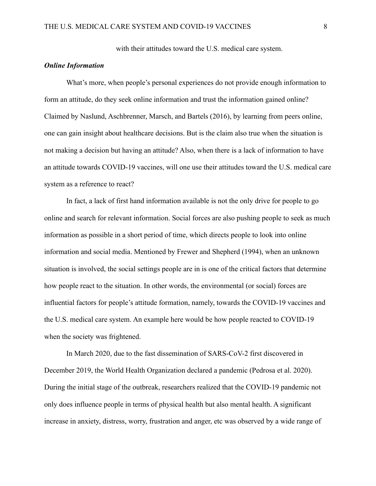with their attitudes toward the U.S. medical care system.

## *Online Information*

What's more, when people's personal experiences do not provide enough information to form an attitude, do they seek online information and trust the information gained online? Claimed by Naslund, Aschbrenner, Marsch, and Bartels (2016), by learning from peers online, one can gain insight about healthcare decisions. But is the claim also true when the situation is not making a decision but having an attitude? Also, when there is a lack of information to have an attitude towards COVID-19 vaccines, will one use their attitudes toward the U.S. medical care system as a reference to react?

In fact, a lack of first hand information available is not the only drive for people to go online and search for relevant information. Social forces are also pushing people to seek as much information as possible in a short period of time, which directs people to look into online information and social media. Mentioned by Frewer and Shepherd (1994), when an unknown situation is involved, the social settings people are in is one of the critical factors that determine how people react to the situation. In other words, the environmental (or social) forces are influential factors for people's attitude formation, namely, towards the COVID-19 vaccines and the U.S. medical care system. An example here would be how people reacted to COVID-19 when the society was frightened.

In March 2020, due to the fast dissemination of SARS-CoV-2 first discovered in December 2019, the World Health Organization declared a pandemic (Pedrosa et al. 2020). During the initial stage of the outbreak, researchers realized that the COVID-19 pandemic not only does influence people in terms of physical health but also mental health. A significant increase in anxiety, distress, worry, frustration and anger, etc was observed by a wide range of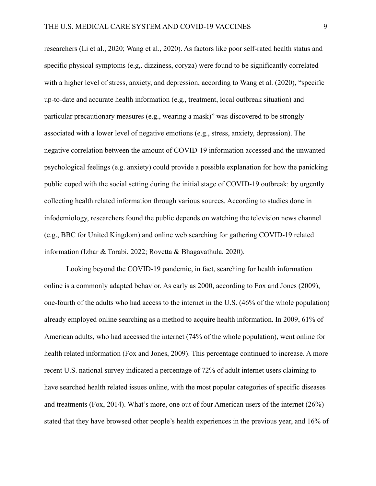researchers (Li et al., 2020; Wang et al., 2020). As factors like poor self-rated health status and specific physical symptoms (e.g,. dizziness, coryza) were found to be significantly correlated with a higher level of stress, anxiety, and depression, according to Wang et al. (2020), "specific up-to-date and accurate health information (e.g., treatment, local outbreak situation) and particular precautionary measures (e.g., wearing a mask)" was discovered to be strongly associated with a lower level of negative emotions (e.g., stress, anxiety, depression). The negative correlation between the amount of COVID-19 information accessed and the unwanted psychological feelings (e.g. anxiety) could provide a possible explanation for how the panicking public coped with the social setting during the initial stage of COVID-19 outbreak: by urgently collecting health related information through various sources. According to studies done in infodemiology, researchers found the public depends on watching the television news channel (e.g., BBC for United Kingdom) and online web searching for gathering COVID-19 related information (Izhar & Torabi, 2022; Rovetta & Bhagavathula, 2020).

Looking beyond the COVID-19 pandemic, in fact, searching for health information online is a commonly adapted behavior. As early as 2000, according to Fox and Jones (2009), one-fourth of the adults who had access to the internet in the U.S. (46% of the whole population) already employed online searching as a method to acquire health information. In 2009, 61% of American adults, who had accessed the internet (74% of the whole population), went online for health related information (Fox and Jones, 2009). This percentage continued to increase. A more recent U.S. national survey indicated a percentage of 72% of adult internet users claiming to have searched health related issues online, with the most popular categories of specific diseases and treatments (Fox, 2014). What's more, one out of four American users of the internet (26%) stated that they have browsed other people's health experiences in the previous year, and 16% of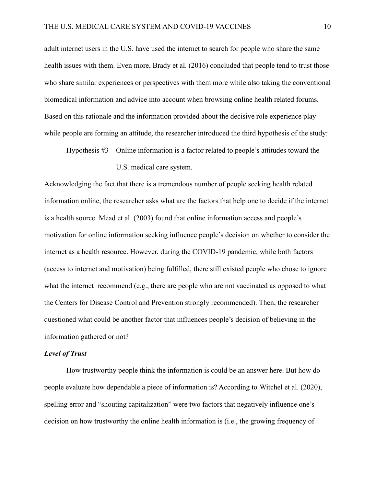adult internet users in the U.S. have used the internet to search for people who share the same health issues with them. Even more, Brady et al. (2016) concluded that people tend to trust those who share similar experiences or perspectives with them more while also taking the conventional biomedical information and advice into account when browsing online health related forums. Based on this rationale and the information provided about the decisive role experience play while people are forming an attitude, the researcher introduced the third hypothesis of the study:

Hypothesis #3 – Online information is a factor related to people's attitudes toward the

#### U.S. medical care system.

Acknowledging the fact that there is a tremendous number of people seeking health related information online, the researcher asks what are the factors that help one to decide if the internet is a health source. Mead et al. (2003) found that online information access and people's motivation for online information seeking influence people's decision on whether to consider the internet as a health resource. However, during the COVID-19 pandemic, while both factors (access to internet and motivation) being fulfilled, there still existed people who chose to ignore what the internet recommend (e.g., there are people who are not vaccinated as opposed to what the Centers for Disease Control and Prevention strongly recommended). Then, the researcher questioned what could be another factor that influences people's decision of believing in the information gathered or not?

#### *Level of Trust*

How trustworthy people think the information is could be an answer here. But how do people evaluate how dependable a piece of information is? According to Witchel et al. (2020), spelling error and "shouting capitalization" were two factors that negatively influence one's decision on how trustworthy the online health information is (i.e., the growing frequency of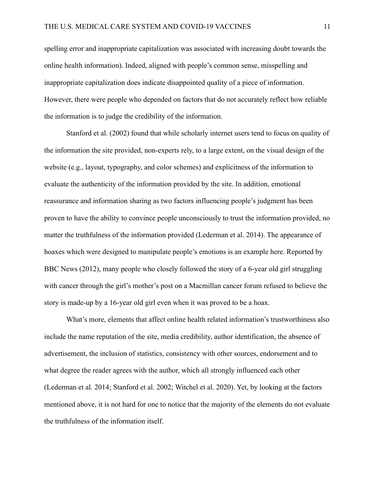spelling error and inappropriate capitalization was associated with increasing doubt towards the online health information). Indeed, aligned with people's common sense, misspelling and inappropriate capitalization does indicate disappointed quality of a piece of information. However, there were people who depended on factors that do not accurately reflect how reliable the information is to judge the credibility of the information.

Stanford et al. (2002) found that while scholarly internet users tend to focus on quality of the information the site provided, non-experts rely, to a large extent, on the visual design of the website (e.g., layout, typography, and color schemes) and explicitness of the information to evaluate the authenticity of the information provided by the site. In addition, emotional reassurance and information sharing as two factors influencing people's judgment has been proven to have the ability to convince people unconsciously to trust the information provided, no matter the truthfulness of the information provided (Lederman et al. 2014). The appearance of hoaxes which were designed to manipulate people's emotions is an example here. Reported by BBC News (2012), many people who closely followed the story of a 6-year old girl struggling with cancer through the girl's mother's post on a Macmillan cancer forum refused to believe the story is made-up by a 16-year old girl even when it was proved to be a hoax.

What's more, elements that affect online health related information's trustworthiness also include the name reputation of the site, media credibility, author identification, the absence of advertisement, the inclusion of statistics, consistency with other sources, endorsement and to what degree the reader agrees with the author, which all strongly influenced each other (Lederman et al. 2014; Stanford et al. 2002; Witchel et al. 2020). Yet, by looking at the factors mentioned above, it is not hard for one to notice that the majority of the elements do not evaluate the truthfulness of the information itself.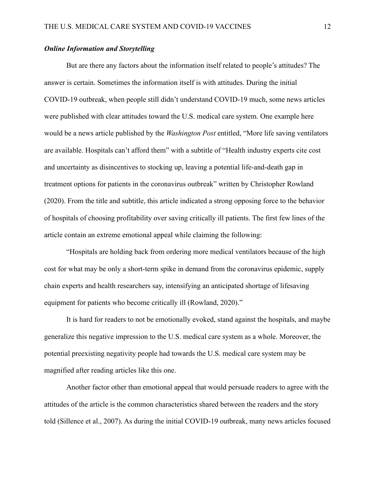#### *Online Information and Storytelling*

But are there any factors about the information itself related to people's attitudes? The answer is certain. Sometimes the information itself is with attitudes. During the initial COVID-19 outbreak, when people still didn't understand COVID-19 much, some news articles were published with clear attitudes toward the U.S. medical care system. One example here would be a news article published by the *Washington Post* entitled, "More life saving ventilators are available. Hospitals can't afford them" with a subtitle of "Health industry experts cite cost and uncertainty as disincentives to stocking up, leaving a potential life-and-death gap in treatment options for patients in the coronavirus outbreak" written by [Christopher Rowland](https://www.washingtonpost.com/people/christopher-rowland/) (2020). From the title and subtitle, this article indicated a strong opposing force to the behavior of hospitals of choosing profitability over saving critically ill patients. The first few lines of the article contain an extreme emotional appeal while claiming the following:

"Hospitals are holding back from ordering more medical ventilators because of the high cost for what may be only a short-term spike in demand from the coronavirus epidemic, supply chain experts and health researchers say, intensifying an anticipated shortage of lifesaving equipment for patients who become critically ill (Rowland, 2020)."

It is hard for readers to not be emotionally evoked, stand against the hospitals, and maybe generalize this negative impression to the U.S. medical care system as a whole. Moreover, the potential preexisting negativity people had towards the U.S. medical care system may be magnified after reading articles like this one.

Another factor other than emotional appeal that would persuade readers to agree with the attitudes of the article is the common characteristics shared between the readers and the story told (Sillence et al., 2007). As during the initial COVID-19 outbreak, many news articles focused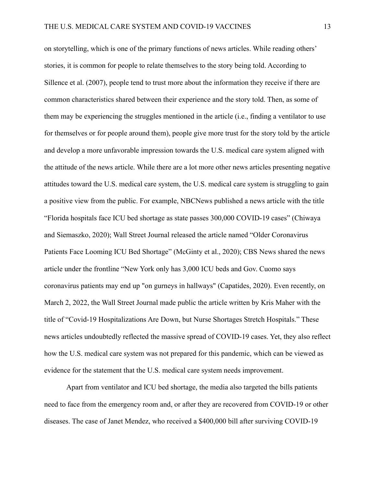on storytelling, which is one of the primary functions of news articles. While reading others' stories, it is common for people to relate themselves to the story being told. According to Sillence et al. (2007), people tend to trust more about the information they receive if there are common characteristics shared between their experience and the story told. Then, as some of them may be experiencing the struggles mentioned in the article (i.e., finding a ventilator to use for themselves or for people around them), people give more trust for the story told by the article and develop a more unfavorable impression towards the U.S. medical care system aligned with the attitude of the news article. While there are a lot more other news articles presenting negative attitudes toward the U.S. medical care system, the U.S. medical care system is struggling to gain a positive view from the public. For example, NBCNews published a news article with the title "Florida hospitals face ICU bed shortage as state passes 300,000 COVID-19 cases" (Chiwaya and Siemaszko, 2020); Wall Street Journal released the article named "Older Coronavirus Patients Face Looming ICU Bed Shortage" (McGinty et al., 2020); CBS News shared the news article under the frontline "New York only has 3,000 ICU beds and Gov. Cuomo says coronavirus patients may end up "on gurneys in hallways" (Capatides, 2020). Even recently, on March 2, 2022, the Wall Street Journal made public the article written by Kris Maher with the title of "Covid-19 Hospitalizations Are Down, but Nurse Shortages Stretch Hospitals." These news articles undoubtedly reflected the massive spread of COVID-19 cases. Yet, they also reflect how the U.S. medical care system was not prepared for this pandemic, which can be viewed as evidence for the statement that the U.S. medical care system needs improvement.

Apart from ventilator and ICU bed shortage, the media also targeted the bills patients need to face from the emergency room and, or after they are recovered from COVID-19 or other diseases. The case of Janet Mendez, who received a \$400,000 bill after surviving COVID-19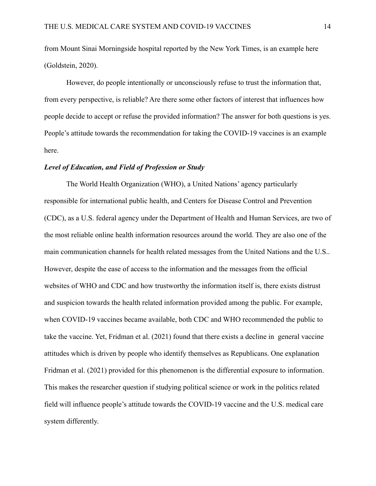from Mount Sinai Morningside hospital reported by the New York Times, is an example here (Goldstein, 2020).

However, do people intentionally or unconsciously refuse to trust the information that, from every perspective, is reliable? Are there some other factors of interest that influences how people decide to accept or refuse the provided information? The answer for both questions is yes. People's attitude towards the recommendation for taking the COVID-19 vaccines is an example here.

#### *Level of Education, and Field of Profession or Study*

The World Health Organization (WHO), a United Nations' agency particularly responsible for international public health, and Centers for Disease Control and Prevention (CDC), as a U.S. federal agency under the Department of Health and Human Services, are two of the most reliable online health information resources around the world. They are also one of the main communication channels for health related messages from the United Nations and the U.S.. However, despite the ease of access to the information and the messages from the official websites of WHO and CDC and how trustworthy the information itself is, there exists distrust and suspicion towards the health related information provided among the public. For example, when COVID-19 vaccines became available, both CDC and WHO recommended the public to take the vaccine. Yet, Fridman et al. (2021) found that there exists a decline in general vaccine attitudes which is driven by people who identify themselves as Republicans. One explanation Fridman et al. (2021) provided for this phenomenon is the differential exposure to information. This makes the researcher question if studying political science or work in the politics related field will influence people's attitude towards the COVID-19 vaccine and the U.S. medical care system differently.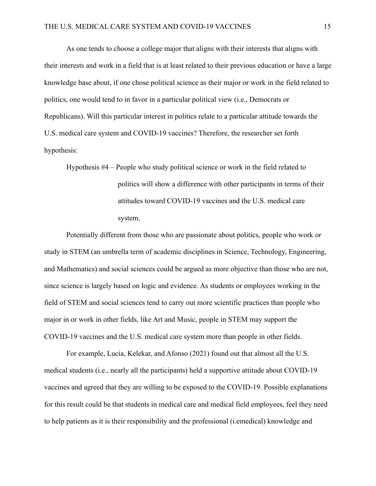As one tends to choose a college major that aligns with their interests that aligns with their interests and work in a field that is at least related to their previous education or have a large knowledge base about, if one chose political science as their major or work in the field related to politics, one would tend to in favor in a particular political view (i.e., Democrats or Republicans). Will this particular interest in politics relate to a particular attitude towards the U.S. medical care system and COVID-19 vaccines? Therefore, the researcher set forth hypothesis:

Hypothesis #4 – People who study political science or work in the field related to politics will show a difference with other participants in terms of their attitudes toward COVID-19 vaccines and the U.S. medical care system.

Potentially different from those who are passionate about politics, people who work or study in STEM (an umbrella term of academic disciplines in Science, Technology, Engineering, and Mathematics) and social sciences could be argued as more objective than those who are not, since science is largely based on logic and evidence. As students or employees working in the field of STEM and social sciences tend to carry out more scientific practices than people who major in or work in other fields, like Art and Music, people in STEM may support the COVID-19 vaccines and the U.S. medical care system more than people in other fields.

For example, Lucia, Kelekar, and Afonso (2021) found out that almost all the U.S. medical students (i.e., nearly all the participants) held a supportive attitude about COVID-19 vaccines and agreed that they are willing to be exposed to the COVID-19. Possible explanations for this result could be that students in medical care and medical field employees, feel they need to help patients as it is their responsibility and the professional (i.emedical) knowledge and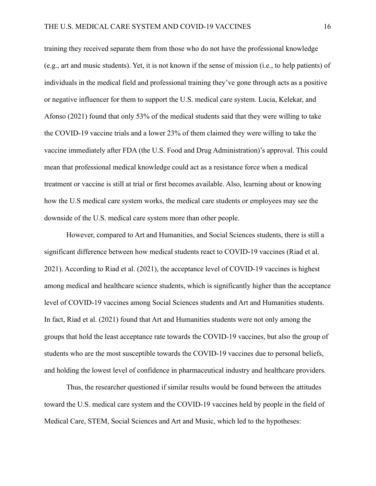training they received separate them from those who do not have the professional knowledge (e.g., art and music students). Yet, it is not known if the sense of mission (i.e., to help patients) of individuals in the medical field and professional training they've gone through acts as a positive or negative influencer for them to support the U.S. medical care system. Lucia, Kelekar, and Afonso (2021) found that only 53% of the medical students said that they were willing to take the COVID-19 vaccine trials and a lower 23% of them claimed they were willing to take the vaccine immediately after FDA (the U.S. Food and Drug Administration)'s approval. This could mean that professional medical knowledge could act as a resistance force when a medical treatment or vaccine is still at trial or first becomes available. Also, learning about or knowing how the U.S medical care system works, the medical care students or employees may see the downside of the U.S. medical care system more than other people.

However, compared to Art and Humanities, and Social Sciences students, there is still a significant difference between how medical students react to COVID-19 vaccines (Riad et al. 2021). According to Riad et al. (2021), the acceptance level of COVID-19 vaccines is highest among medical and healthcare science students, which is significantly higher than the acceptance level of COVID-19 vaccines among Social Sciences students and Art and Humanities students. In fact, Riad et al. (2021) found that Art and Humanities students were not only among the groups that hold the least acceptance rate towards the COVID-19 vaccines, but also the group of students who are the most susceptible towards the COVID-19 vaccines due to personal beliefs, and holding the lowest level of confidence in pharmaceutical industry and healthcare providers.

Thus, the researcher questioned if similar results would be found between the attitudes toward the U.S. medical care system and the COVID-19 vaccines held by people in the field of Medical Care, STEM, Social Sciences and Art and Music, which led to the hypotheses: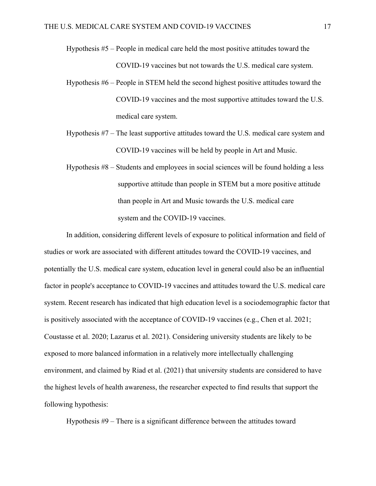- Hypothesis #5 People in medical care held the most positive attitudes toward the COVID-19 vaccines but not towards the U.S. medical care system.
- Hypothesis #6 People in STEM held the second highest positive attitudes toward the COVID-19 vaccines and the most supportive attitudes toward the U.S. medical care system.
- Hypothesis #7 The least supportive attitudes toward the U.S. medical care system and COVID-19 vaccines will be held by people in Art and Music.
- Hypothesis #8 Students and employees in social sciences will be found holding a less supportive attitude than people in STEM but a more positive attitude than people in Art and Music towards the U.S. medical care system and the COVID-19 vaccines.

In addition, considering different levels of exposure to political information and field of studies or work are associated with different attitudes toward the COVID-19 vaccines, and potentially the U.S. medical care system, education level in general could also be an influential factor in people's acceptance to COVID-19 vaccines and attitudes toward the U.S. medical care system. Recent research has indicated that high education level is a sociodemographic factor that is positively associated with the acceptance of COVID-19 vaccines (e.g., Chen et al. 2021; Coustasse et al. 2020; Lazarus et al. 2021). Considering university students are likely to be exposed to more balanced information in a relatively more intellectually challenging environment, and claimed by Riad et al. (2021) that university students are considered to have the highest levels of health awareness, the researcher expected to find results that support the following hypothesis:

Hypothesis #9 – There is a significant difference between the attitudes toward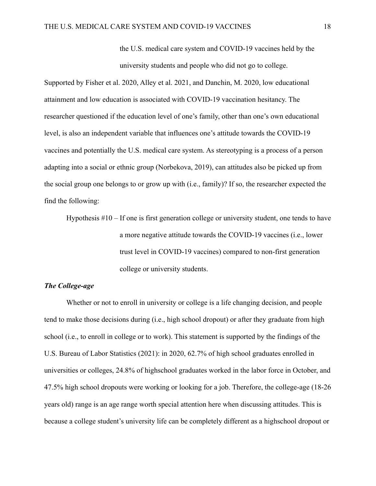the U.S. medical care system and COVID-19 vaccines held by the university students and people who did not go to college.

Supported by Fisher et al. 2020, Alley et al. 2021, and Danchin, M. 2020, low educational attainment and low education is associated with COVID-19 vaccination hesitancy. The researcher questioned if the education level of one's family, other than one's own educational level, is also an independent variable that influences one's attitude towards the COVID-19 vaccines and potentially the U.S. medical care system. As stereotyping is a process of a person adapting into a social or ethnic group (Norbekova, 2019), can attitudes also be picked up from the social group one belongs to or grow up with (i.e., family)? If so, the researcher expected the find the following:

Hypothesis #10 – If one is first generation college or university student, one tends to have a more negative attitude towards the COVID-19 vaccines (i.e., lower trust level in COVID-19 vaccines) compared to non-first generation college or university students.

## *The College-age*

Whether or not to enroll in university or college is a life changing decision, and people tend to make those decisions during (i.e., high school dropout) or after they graduate from high school (i.e., to enroll in college or to work). This statement is supported by the findings of the U.S. Bureau of Labor Statistics (2021): in 2020, 62.7% of high school graduates enrolled in universities or colleges, 24.8% of highschool graduates worked in the labor force in October, and 47.5% high school dropouts were working or looking for a job. Therefore, the college-age (18-26 years old) range is an age range worth special attention here when discussing attitudes. This is because a college student's university life can be completely different as a highschool dropout or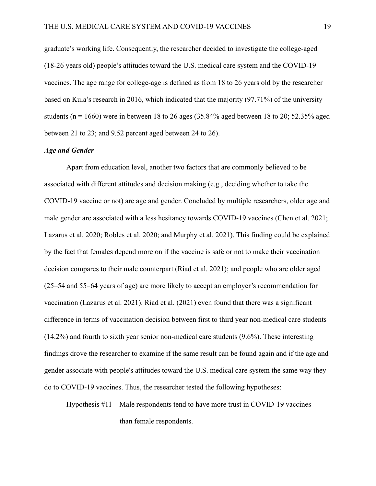graduate's working life. Consequently, the researcher decided to investigate the college-aged (18-26 years old) people's attitudes toward the U.S. medical care system and the COVID-19 vaccines. The age range for college-age is defined as from 18 to 26 years old by the researcher based on Kula's research in 2016, which indicated that the majority (97.71%) of the university students ( $n = 1660$ ) were in between 18 to 26 ages (35.84% aged between 18 to 20; 52.35% aged between 21 to 23; and 9.52 percent aged between 24 to 26).

### *Age and Gender*

Apart from education level, another two factors that are commonly believed to be associated with different attitudes and decision making (e.g., deciding whether to take the COVID-19 vaccine or not) are age and gender. Concluded by multiple researchers, older age and male gender are associated with a less hesitancy towards COVID-19 vaccines (Chen et al. 2021; Lazarus et al. 2020; Robles et al. 2020; and Murphy et al. 2021). This finding could be explained by the fact that females depend more on if the vaccine is safe or not to make their vaccination decision compares to their male counterpart (Riad et al. 2021); and people who are older aged (25‒54 and 55‒64 years of age) are more likely to accept an employer's recommendation for vaccination (Lazarus et al. 2021). Riad et al. (2021) even found that there was a significant difference in terms of vaccination decision between first to third year non-medical care students (14.2%) and fourth to sixth year senior non-medical care students (9.6%). These interesting findings drove the researcher to examine if the same result can be found again and if the age and gender associate with people's attitudes toward the U.S. medical care system the same way they do to COVID-19 vaccines. Thus, the researcher tested the following hypotheses:

Hypothesis #11 – Male respondents tend to have more trust in COVID-19 vaccines than female respondents.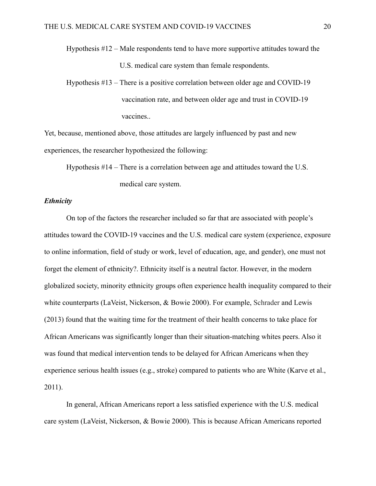Hypothesis #12 – Male respondents tend to have more supportive attitudes toward the U.S. medical care system than female respondents.

Hypothesis #13 – There is a positive correlation between older age and COVID-19 vaccination rate, and between older age and trust in COVID-19 vaccines..

Yet, because, mentioned above, those attitudes are largely influenced by past and new experiences, the researcher hypothesized the following:

Hypothesis #14 – There is a correlation between age and attitudes toward the U.S.

medical care system.

#### *Ethnicity*

On top of the factors the researcher included so far that are associated with people's attitudes toward the COVID-19 vaccines and the U.S. medical care system (experience, exposure to online information, field of study or work, level of education, age, and gender), one must not forget the element of ethnicity?. Ethnicity itself is a neutral factor. However, in the modern globalized society, minority ethnicity groups often experience health inequality compared to their white counterparts (LaVeist, Nickerson, & Bowie 2000). For example, Schrader and Lewis (2013) found that the waiting time for the treatment of their health concerns to take place for African Americans was significantly longer than their situation-matching whites peers. Also it was found that medical intervention tends to be delayed for African Americans when they experience serious health issues (e.g., stroke) compared to patients who are White (Karve et al., 2011).

In general, African Americans report a less satisfied experience with the U.S. medical care system (LaVeist, Nickerson, & Bowie 2000). This is because African Americans reported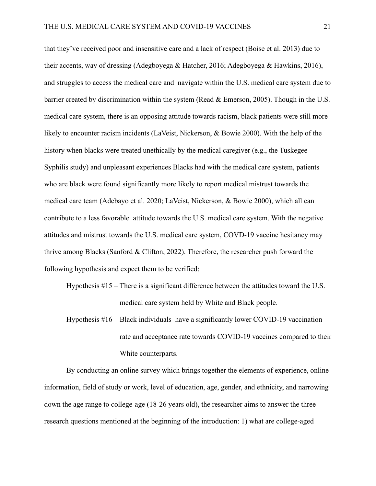that they've received poor and insensitive care and a lack of respect (Boise et al. 2013) due to their accents, way of dressing (Adegboyega & Hatcher, 2016; Adegboyega & Hawkins, 2016), and struggles to access the medical care and navigate within the U.S. medical care system due to barrier created by discrimination within the system (Read & Emerson, 2005). Though in the U.S. medical care system, there is an opposing attitude towards racism, black patients were still more likely to encounter racism incidents (LaVeist, Nickerson, & Bowie 2000). With the help of the history when blacks were treated unethically by the medical caregiver (e.g., the Tuskegee Syphilis study) and unpleasant experiences Blacks had with the medical care system, patients who are black were found significantly more likely to report medical mistrust towards the medical care team (Adebayo et al. 2020; LaVeist, Nickerson, & Bowie 2000), which all can contribute to a less favorable attitude towards the U.S. medical care system. With the negative attitudes and mistrust towards the U.S. medical care system, COVD-19 vaccine hesitancy may thrive among Blacks (Sanford & Clifton, 2022). Therefore, the researcher push forward the following hypothesis and expect them to be verified:

Hypothesis #15 – There is a significant difference between the attitudes toward the U.S. medical care system held by White and Black people.

Hypothesis #16 – Black individuals have a significantly lower COVID-19 vaccination rate and acceptance rate towards COVID-19 vaccines compared to their White counterparts.

By conducting an online survey which brings together the elements of experience, online information, field of study or work, level of education, age, gender, and ethnicity, and narrowing down the age range to college-age (18-26 years old), the researcher aims to answer the three research questions mentioned at the beginning of the introduction: 1) what are college-aged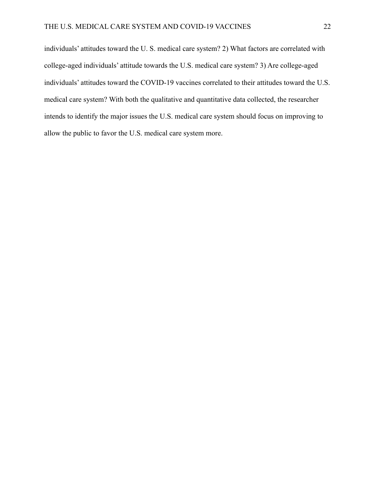individuals' attitudes toward the U. S. medical care system? 2) What factors are correlated with college-aged individuals' attitude towards the U.S. medical care system? 3) Are college-aged individuals' attitudes toward the COVID-19 vaccines correlated to their attitudes toward the U.S. medical care system? With both the qualitative and quantitative data collected, the researcher intends to identify the major issues the U.S. medical care system should focus on improving to allow the public to favor the U.S. medical care system more.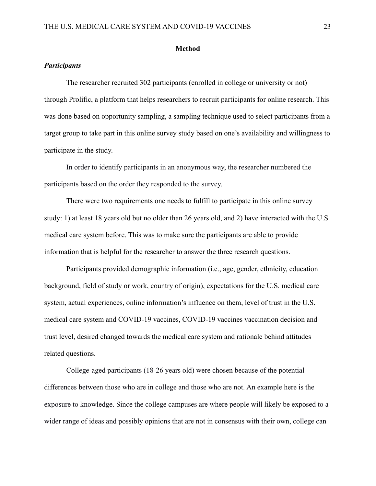#### **Method**

## *Participants*

The researcher recruited 302 participants (enrolled in college or university or not) through Prolific, a platform that helps researchers to recruit participants for online research. This was done based on opportunity sampling, a sampling technique used to select participants from a target group to take part in this online survey study based on one's availability and willingness to participate in the study.

In order to identify participants in an anonymous way, the researcher numbered the participants based on the order they responded to the survey.

There were two requirements one needs to fulfill to participate in this online survey study: 1) at least 18 years old but no older than 26 years old, and 2) have interacted with the U.S. medical care system before. This was to make sure the participants are able to provide information that is helpful for the researcher to answer the three research questions.

Participants provided demographic information (i.e., age, gender, ethnicity, education background, field of study or work, country of origin), expectations for the U.S. medical care system, actual experiences, online information's influence on them, level of trust in the U.S. medical care system and COVID-19 vaccines, COVID-19 vaccines vaccination decision and trust level, desired changed towards the medical care system and rationale behind attitudes related questions.

College-aged participants (18-26 years old) were chosen because of the potential differences between those who are in college and those who are not. An example here is the exposure to knowledge. Since the college campuses are where people will likely be exposed to a wider range of ideas and possibly opinions that are not in consensus with their own, college can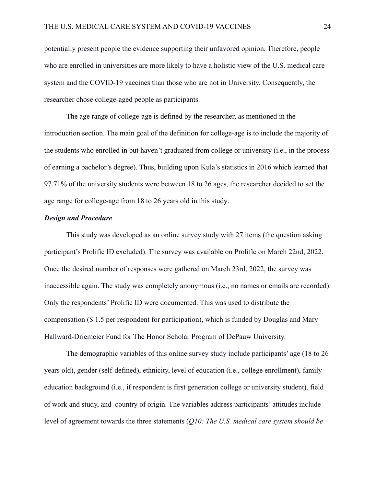potentially present people the evidence supporting their unfavored opinion. Therefore, people who are enrolled in universities are more likely to have a holistic view of the U.S. medical care system and the COVID-19 vaccines than those who are not in University. Consequently, the researcher chose college-aged people as participants.

The age range of college-age is defined by the researcher, as mentioned in the introduction section. The main goal of the definition for college-age is to include the majority of the students who enrolled in but haven't graduated from college or university (i.e., in the process of earning a bachelor's degree). Thus, building upon Kula's statistics in 2016 which learned that 97.71% of the university students were between 18 to 26 ages, the researcher decided to set the age range for college-age from 18 to 26 years old in this study.

#### *Design and Procedure*

This study was developed as an online survey study with 27 items (the question asking participant's Prolific ID excluded). The survey was available on Prolific on March 22nd, 2022. Once the desired number of responses were gathered on March 23rd, 2022, the survey was inaccessible again. The study was completely anonymous (i.e., no names or emails are recorded). Only the respondents' Prolific ID were documented. This was used to distribute the compensation (\$ 1.5 per respondent for participation), which is funded by Douglas and Mary Hallward-Driemeier Fund for The Honor Scholar Program of DePauw University.

The demographic variables of this online survey study include participants' age (18 to 26 years old), gender (self-defined), ethnicity, level of education (i.e., college enrollment), family education background (i.e., if respondent is first generation college or university student), field of work and study, and country of origin. The variables address participants' attitudes include level of agreement towards the three statements (*Q10: The U.S. medical care system should be*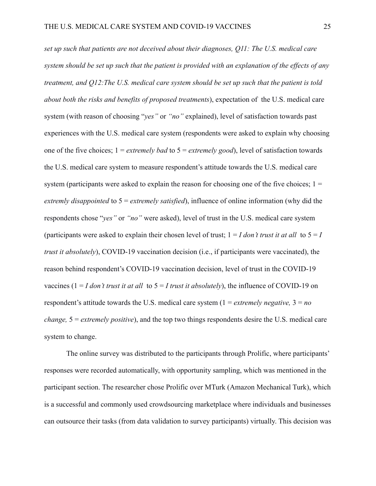*set up such that patients are not deceived about their diagnoses, Q11: The U.S. medical care system should be set up such that the patient is provided with an explanation of the effects of any treatment, and Q12:The U.S. medical care system should be set up such that the patient is told about both the risks and benefits of proposed treatments*), expectation of the U.S. medical care system (with reason of choosing "*yes"* or *"no"* explained), level of satisfaction towards past experiences with the U.S. medical care system (respondents were asked to explain why choosing one of the five choices; 1 = *extremely bad* to 5 = *extremely good*), level of satisfaction towards the U.S. medical care system to measure respondent's attitude towards the U.S. medical care system (participants were asked to explain the reason for choosing one of the five choices;  $1 =$ *extremly disappointed* to 5 = *extremely satisfied*), influence of online information (why did the respondents chose "*yes"* or *"no"* were asked), level of trust in the U.S. medical care system (participants were asked to explain their chosen level of trust;  $1 = I$  *don't trust it at all* to  $5 = I$ *trust it absolutely*), COVID-19 vaccination decision (i.e., if participants were vaccinated), the reason behind respondent's COVID-19 vaccination decision, level of trust in the COVID-19 vaccines ( $1 = I$  *don't trust it at all* to  $5 = I$  *trust it absolutely*), the influence of COVID-19 on respondent's attitude towards the U.S. medical care system (1 = *extremely negative,* 3 = *no change,* 5 = *extremely positive*), and the top two things respondents desire the U.S. medical care system to change.

The online survey was distributed to the participants through Prolific, where participants' responses were recorded automatically, with opportunity sampling, which was mentioned in the participant section. The researcher chose Prolific over MTurk (Amazon Mechanical Turk), which is a successful and commonly used crowdsourcing marketplace where individuals and businesses can outsource their tasks (from data validation to survey participants) virtually. This decision was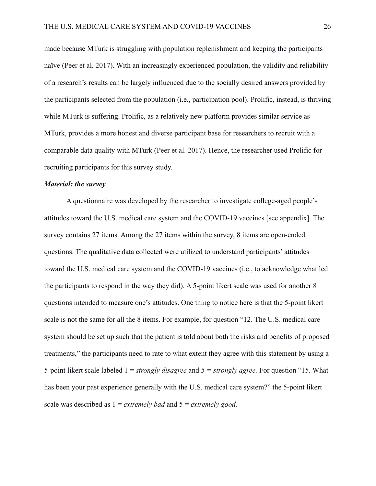made because MTurk is struggling with population replenishment and keeping the participants naïve (Peer et al. 2017). With an increasingly experienced population, the validity and reliability of a research's results can be largely influenced due to the socially desired answers provided by the participants selected from the population (i.e., participation pool). Prolific, instead, is thriving while MTurk is suffering. Prolific, as a relatively new platform provides similar service as MTurk, provides a more honest and diverse participant base for researchers to recruit with a comparable data quality with MTurk (Peer et al. 2017). Hence, the researcher used Prolific for recruiting participants for this survey study.

#### *Material: the survey*

A questionnaire was developed by the researcher to investigate college-aged people's attitudes toward the U.S. medical care system and the COVID-19 vaccines [see appendix]. The survey contains 27 items. Among the 27 items within the survey, 8 items are open-ended questions. The qualitative data collected were utilized to understand participants' attitudes toward the U.S. medical care system and the COVID-19 vaccines (i.e., to acknowledge what led the participants to respond in the way they did). A 5-point likert scale was used for another 8 questions intended to measure one's attitudes. One thing to notice here is that the 5-point likert scale is not the same for all the 8 items. For example, for question "12. The U.S. medical care system should be set up such that the patient is told about both the risks and benefits of proposed treatments," the participants need to rate to what extent they agree with this statement by using a 5-point likert scale labeled 1 = *strongly disagree* and *5 = strongly agree.* For question "15. What has been your past experience generally with the U.S. medical care system?" the 5-point likert scale was described as 1 = *extremely bad* and 5 = *extremely good.*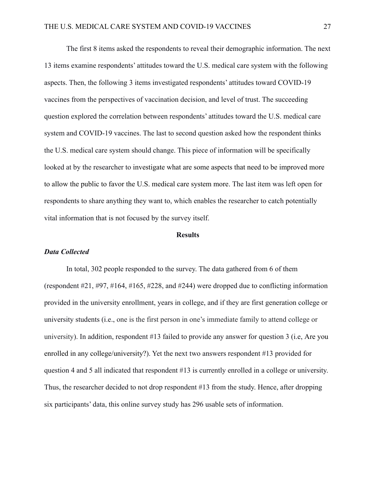The first 8 items asked the respondents to reveal their demographic information. The next 13 items examine respondents' attitudes toward the U.S. medical care system with the following aspects. Then, the following 3 items investigated respondents' attitudes toward COVID-19 vaccines from the perspectives of vaccination decision, and level of trust. The succeeding question explored the correlation between respondents' attitudes toward the U.S. medical care system and COVID-19 vaccines. The last to second question asked how the respondent thinks the U.S. medical care system should change. This piece of information will be specifically looked at by the researcher to investigate what are some aspects that need to be improved more to allow the public to favor the U.S. medical care system more. The last item was left open for respondents to share anything they want to, which enables the researcher to catch potentially vital information that is not focused by the survey itself.

#### **Results**

#### *Data Collected*

In total, 302 people responded to the survey. The data gathered from 6 of them (respondent #21, #97, #164, #165, #228, and #244) were dropped due to conflicting information provided in the university enrollment, years in college, and if they are first generation college or university students (i.e., one is the first person in one's immediate family to attend college or university). In addition, respondent #13 failed to provide any answer for question 3 (i.e, Are you enrolled in any college/university?). Yet the next two answers respondent #13 provided for question 4 and 5 all indicated that respondent #13 is currently enrolled in a college or university. Thus, the researcher decided to not drop respondent #13 from the study. Hence, after dropping six participants' data, this online survey study has 296 usable sets of information.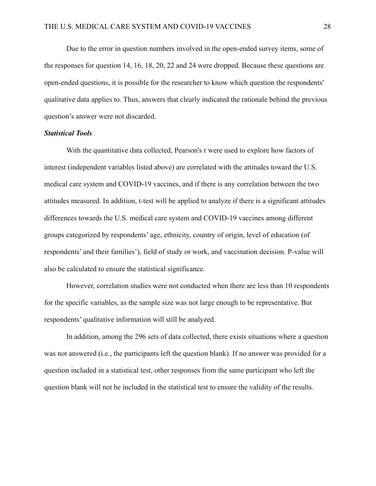Due to the error in question numbers involved in the open-ended survey items, some of the responses for question 14, 16, 18, 20, 22 and 24 were dropped. Because these questions are open-ended questions, it is possible for the researcher to know which question the respondents' qualitative data applies to. Thus, answers that clearly indicated the rationale behind the previous question's answer were not discarded.

#### *Statistical Tools*

With the quantitative data collected, Pearson's r were used to explore how factors of interest (independent variables listed above) are correlated with the attitudes toward the U.S. medical care system and COVID-19 vaccines, and if there is any correlation between the two attitudes measured. In addition, t-test will be applied to analyze if there is a significant attitudes differences towards the U.S. medical care system and COVID-19 vaccines among different groups categorized by respondents' age, ethnicity, country of origin, level of education (of respondents' and their families'), field of study or work, and vaccination decision. P-value will also be calculated to ensure the statistical significance.

However, correlation studies were not conducted when there are less than 10 respondents for the specific variables, as the sample size was not large enough to be representative. But respondents' qualitative information will still be analyzed.

In addition, among the 296 sets of data collected, there exists situations where a question was not answered (i.e., the participants left the question blank). If no answer was provided for a question included in a statistical test, other responses from the same participant who left the question blank will not be included in the statistical test to ensure the validity of the results.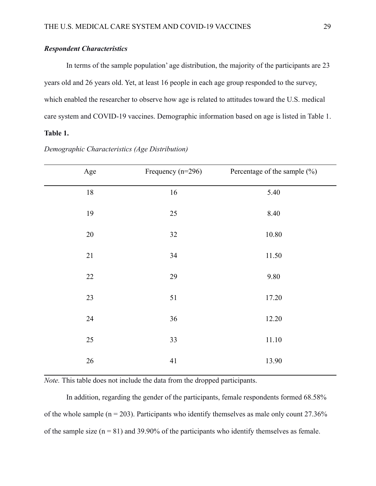## *Respondent Characteristics*

In terms of the sample population' age distribution, the majority of the participants are 23 years old and 26 years old. Yet, at least 16 people in each age group responded to the survey, which enabled the researcher to observe how age is related to attitudes toward the U.S. medical care system and COVID-19 vaccines. Demographic information based on age is listed in Table 1.

## **Table 1.**

| Age    | Frequency $(n=296)$ | Percentage of the sample (%) |
|--------|---------------------|------------------------------|
| $18\,$ | 16                  | 5.40                         |
| 19     | 25                  | 8.40                         |
| $20\,$ | $32\,$              | $10.80\,$                    |
| 21     | 34                  | 11.50                        |
| 22     | 29                  | 9.80                         |
| 23     | 51                  | 17.20                        |
| 24     | 36                  | 12.20                        |
| 25     | 33                  | $11.10\,$                    |
| $26\,$ | 41                  | 13.90                        |

## *Demographic Characteristics (Age Distribution)*

*Note.* This table does not include the data from the dropped participants.

In addition, regarding the gender of the participants, female respondents formed 68.58% of the whole sample ( $n = 203$ ). Participants who identify themselves as male only count 27.36% of the sample size  $(n = 81)$  and 39.90% of the participants who identify themselves as female.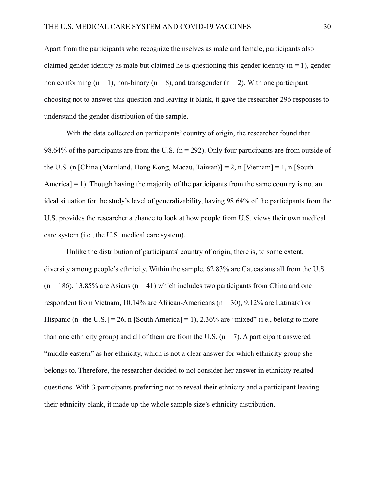Apart from the participants who recognize themselves as male and female, participants also claimed gender identity as male but claimed he is questioning this gender identity ( $n = 1$ ), gender non conforming ( $n = 1$ ), non-binary ( $n = 8$ ), and transgender ( $n = 2$ ). With one participant choosing not to answer this question and leaving it blank, it gave the researcher 296 responses to understand the gender distribution of the sample.

With the data collected on participants' country of origin, the researcher found that 98.64% of the participants are from the U.S. ( $n = 292$ ). Only four participants are from outside of the U.S. (n [China (Mainland, Hong Kong, Macau, Taiwan)] = 2, n [Vietnam] = 1, n [South America]  $= 1$ ). Though having the majority of the participants from the same country is not an ideal situation for the study's level of generalizability, having 98.64% of the participants from the U.S. provides the researcher a chance to look at how people from U.S. views their own medical care system (i.e., the U.S. medical care system).

Unlike the distribution of participants' country of origin, there is, to some extent, diversity among people's ethnicity. Within the sample, 62.83% are Caucasians all from the U.S.  $(n = 186)$ , 13.85% are Asians  $(n = 41)$  which includes two participants from China and one respondent from Vietnam, 10.14% are African-Americans ( $n = 30$ ), 9.12% are Latina(o) or Hispanic (n [the U.S.] = 26, n [South America] = 1), 2.36% are "mixed" (i.e., belong to more than one ethnicity group) and all of them are from the U.S. ( $n = 7$ ). A participant answered "middle eastern" as her ethnicity, which is not a clear answer for which ethnicity group she belongs to. Therefore, the researcher decided to not consider her answer in ethnicity related questions. With 3 participants preferring not to reveal their ethnicity and a participant leaving their ethnicity blank, it made up the whole sample size's ethnicity distribution.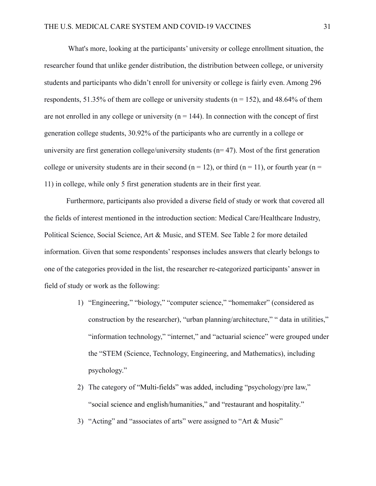What's more, looking at the participants' university or college enrollment situation, the researcher found that unlike gender distribution, the distribution between college, or university students and participants who didn't enroll for university or college is fairly even. Among 296 respondents, 51.35% of them are college or university students ( $n = 152$ ), and 48.64% of them are not enrolled in any college or university  $(n = 144)$ . In connection with the concept of first generation college students, 30.92% of the participants who are currently in a college or university are first generation college/university students  $(n=47)$ . Most of the first generation college or university students are in their second ( $n = 12$ ), or third ( $n = 11$ ), or fourth year ( $n =$ 11) in college, while only 5 first generation students are in their first year.

Furthermore, participants also provided a diverse field of study or work that covered all the fields of interest mentioned in the introduction section: Medical Care/Healthcare Industry, Political Science, Social Science, Art & Music, and STEM. See Table 2 for more detailed information. Given that some respondents' responses includes answers that clearly belongs to one of the categories provided in the list, the researcher re-categorized participants' answer in field of study or work as the following:

- 1) "Engineering," "biology," "computer science," "homemaker" (considered as construction by the researcher), "urban planning/architecture," " data in utilities," "information technology," "internet," and "actuarial science" were grouped under the "STEM (Science, Technology, Engineering, and Mathematics), including psychology."
- 2) The category of "Multi-fields" was added, including "psychology/pre law," "social science and english/humanities," and "restaurant and hospitality."
- 3) "Acting" and "associates of arts" were assigned to "Art & Music"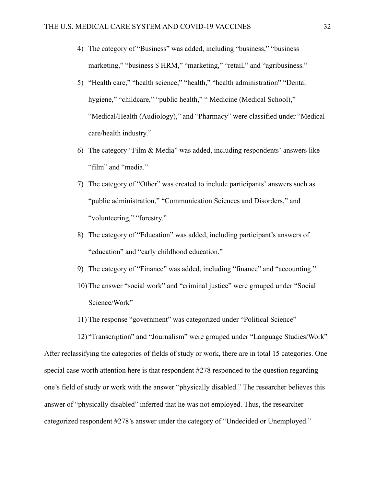- 4) The category of "Business" was added, including "business," "business marketing," "business \$ HRM," "marketing," "retail," and "agribusiness."
- 5) "Health care," "health science," "health," "health administration" "Dental hygiene," "childcare," "public health," " Medicine (Medical School)," "Medical/Health (Audiology)," and "Pharmacy" were classified under "Medical care/health industry."
- 6) The category "Film & Media" was added, including respondents' answers like "film" and "media."
- 7) The category of "Other" was created to include participants' answers such as "public administration," "Communication Sciences and Disorders," and "volunteering," "forestry."
- 8) The category of "Education" was added, including participant's answers of "education" and "early childhood education."
- 9) The category of "Finance" was added, including "finance" and "accounting."
- 10) The answer "social work" and "criminal justice" were grouped under "Social Science/Work"
- 11) The response "government" was categorized under "Political Science"

12) "Transcription" and "Journalism" were grouped under "Language Studies/Work" After reclassifying the categories of fields of study or work, there are in total 15 categories. One special case worth attention here is that respondent #278 responded to the question regarding one's field of study or work with the answer "physically disabled." The researcher believes this answer of "physically disabled" inferred that he was not employed. Thus, the researcher categorized respondent #278's answer under the category of "Undecided or Unemployed."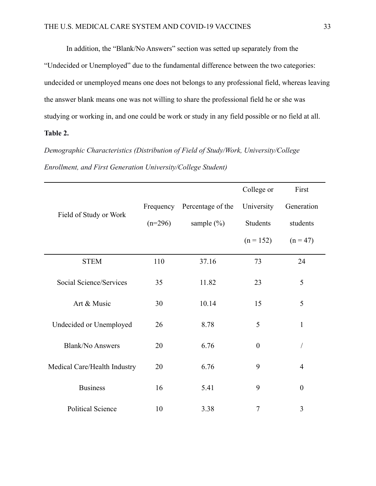In addition, the "Blank/No Answers" section was setted up separately from the

"Undecided or Unemployed" due to the fundamental difference between the two categories: undecided or unemployed means one does not belongs to any professional field, whereas leaving the answer blank means one was not willing to share the professional field he or she was studying or working in, and one could be work or study in any field possible or no field at all.

## **Table 2.**

## *Demographic Characteristics (Distribution of Field of Study/Work, University/College Enrollment, and First Generation University/College Student)*

|                              |           |                   | College or     | First            |
|------------------------------|-----------|-------------------|----------------|------------------|
| Field of Study or Work       | Frequency | Percentage of the | University     | Generation       |
|                              | $(n=296)$ | sample $(\% )$    | Students       | students         |
|                              |           |                   | $(n = 152)$    | $(n = 47)$       |
| <b>STEM</b>                  | 110       | 37.16             | 73             | 24               |
| Social Science/Services      | 35        | 11.82             | 23             | 5                |
| Art & Music                  | 30        | 10.14             | 15             | 5                |
| Undecided or Unemployed      | 26        | 8.78              | 5              | $\mathbf{1}$     |
| <b>Blank/No Answers</b>      | 20        | 6.76              | $\overline{0}$ |                  |
| Medical Care/Health Industry | 20        | 6.76              | 9              | $\overline{4}$   |
| <b>Business</b>              | 16        | 5.41              | 9              | $\boldsymbol{0}$ |
| <b>Political Science</b>     | 10        | 3.38              | 7              | 3                |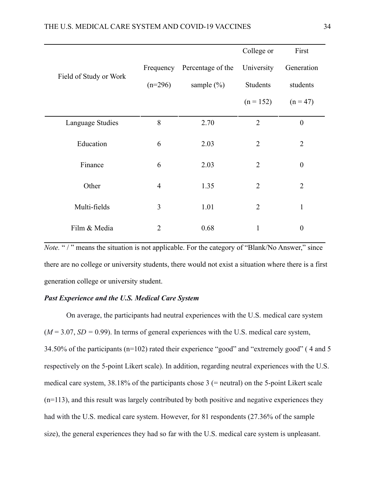|                        |                |                             | College or     | First            |
|------------------------|----------------|-----------------------------|----------------|------------------|
| Field of Study or Work |                | Frequency Percentage of the | University     | Generation       |
|                        | $(n=296)$      | sample $(\% )$              | Students       | students         |
|                        |                |                             | $(n = 152)$    | $(n = 47)$       |
| Language Studies       | 8              | 2.70                        | $\overline{2}$ | $\boldsymbol{0}$ |
| Education              | 6              | 2.03                        | $\overline{2}$ | $\overline{2}$   |
| Finance                | 6              | 2.03                        | $\overline{2}$ | $\boldsymbol{0}$ |
| Other                  | $\overline{4}$ | 1.35                        | $\overline{2}$ | $\overline{2}$   |
| Multi-fields           | 3              | 1.01                        | $\overline{2}$ | $\mathbf{1}$     |
| Film & Media           | $\overline{2}$ | 0.68                        | $\mathbf{1}$   | $\boldsymbol{0}$ |

*Note.* "/" means the situation is not applicable. For the category of "Blank/No Answer," since there are no college or university students, there would not exist a situation where there is a first generation college or university student.

## *Past Experience and the U.S. Medical Care System*

On average, the participants had neutral experiences with the U.S. medical care system  $(M = 3.07, SD = 0.99)$ . In terms of general experiences with the U.S. medical care system, 34.50% of the participants (n=102) rated their experience "good" and "extremely good" ( 4 and 5 respectively on the 5-point Likert scale). In addition, regarding neutral experiences with the U.S. medical care system, 38.18% of the participants chose 3 (= neutral) on the 5-point Likert scale (n=113), and this result was largely contributed by both positive and negative experiences they had with the U.S. medical care system. However, for 81 respondents (27.36% of the sample size), the general experiences they had so far with the U.S. medical care system is unpleasant.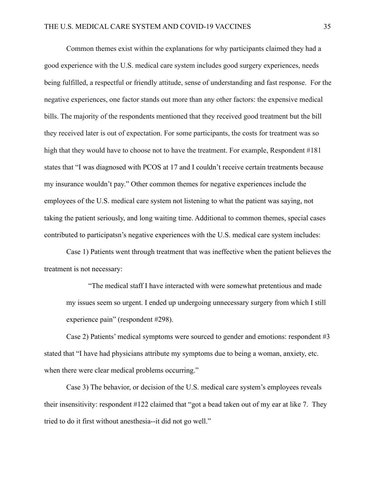Common themes exist within the explanations for why participants claimed they had a good experience with the U.S. medical care system includes good surgery experiences, needs being fulfilled, a respectful or friendly attitude, sense of understanding and fast response. For the negative experiences, one factor stands out more than any other factors: the expensive medical bills. The majority of the respondents mentioned that they received good treatment but the bill they received later is out of expectation. For some participants, the costs for treatment was so high that they would have to choose not to have the treatment. For example, Respondent #181 states that "I was diagnosed with PCOS at 17 and I couldn't receive certain treatments because my insurance wouldn't pay." Other common themes for negative experiences include the employees of the U.S. medical care system not listening to what the patient was saying, not taking the patient seriously, and long waiting time. Additional to common themes, special cases contributed to participatsn's negative experiences with the U.S. medical care system includes:

Case 1) Patients went through treatment that was ineffective when the patient believes the treatment is not necessary:

"The medical staff I have interacted with were somewhat pretentious and made my issues seem so urgent. I ended up undergoing unnecessary surgery from which I still experience pain" (respondent #298).

Case 2) Patients' medical symptoms were sourced to gender and emotions: respondent #3 stated that "I have had physicians attribute my symptoms due to being a woman, anxiety, etc. when there were clear medical problems occurring."

Case 3) The behavior, or decision of the U.S. medical care system's employees reveals their insensitivity: respondent #122 claimed that "got a bead taken out of my ear at like 7. They tried to do it first without anesthesia--it did not go well."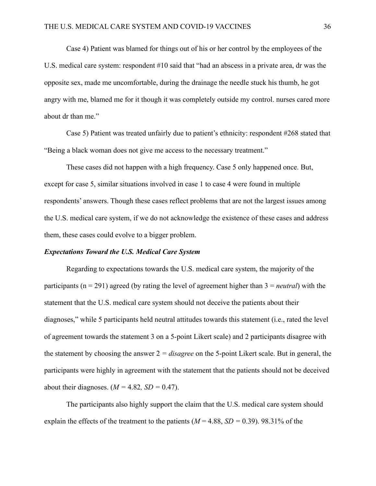Case 4) Patient was blamed for things out of his or her control by the employees of the U.S. medical care system: respondent #10 said that "had an abscess in a private area, dr was the opposite sex, made me uncomfortable, during the drainage the needle stuck his thumb, he got angry with me, blamed me for it though it was completely outside my control. nurses cared more about dr than me."

Case 5) Patient was treated unfairly due to patient's ethnicity: respondent #268 stated that "Being a black woman does not give me access to the necessary treatment."

These cases did not happen with a high frequency. Case 5 only happened once. But, except for case 5, similar situations involved in case 1 to case 4 were found in multiple respondents' answers. Though these cases reflect problems that are not the largest issues among the U.S. medical care system, if we do not acknowledge the existence of these cases and address them, these cases could evolve to a bigger problem.

## *Expectations Toward the U.S. Medical Care System*

Regarding to expectations towards the U.S. medical care system, the majority of the participants (n = 291) agreed (by rating the level of agreement higher than 3 = *neutral*) with the statement that the U.S. medical care system should not deceive the patients about their diagnoses," while 5 participants held neutral attitudes towards this statement (i.e., rated the level of agreement towards the statement 3 on a 5-point Likert scale) and 2 participants disagree with the statement by choosing the answer  $2 = disagree$  on the 5-point Likert scale. But in general, the participants were highly in agreement with the statement that the patients should not be deceived about their diagnoses.  $(M = 4.82, SD = 0.47)$ .

The participants also highly support the claim that the U.S. medical care system should explain the effects of the treatment to the patients  $(M = 4.88, SD = 0.39)$ . 98.31% of the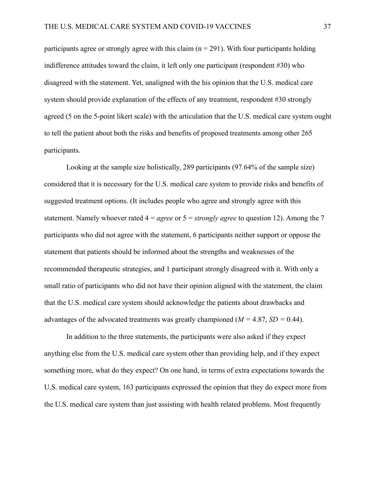participants agree or strongly agree with this claim ( $n = 291$ ). With four participants holding indifference attitudes toward the claim, it left only one participant (respondent #30) who disagreed with the statement. Yet, unaligned with the his opinion that the U.S. medical care system should provide explanation of the effects of any treatment, respondent #30 strongly agreed (5 on the 5-point likert scale) with the articulation that the U.S. medical care system ought to tell the patient about both the risks and benefits of proposed treatments among other 265 participants.

Looking at the sample size holistically, 289 participants (97.64% of the sample size) considered that it is necessary for the U.S. medical care system to provide risks and benefits of suggested treatment options. (It includes people who agree and strongly agree with this statement. Namely whoever rated 4 = *agree* or 5 = *strongly agree* to question 12). Among the 7 participants who did not agree with the statement, 6 participants neither support or oppose the statement that patients should be informed about the strengths and weaknesses of the recommended therapeutic strategies, and 1 participant strongly disagreed with it. With only a small ratio of participants who did not have their opinion aligned with the statement, the claim that the U.S. medical care system should acknowledge the patients about drawbacks and advantages of the advocated treatments was greatly championed (*M =* 4.87, *SD =* 0.44).

In addition to the three statements, the participants were also asked if they expect anything else from the U.S. medical care system other than providing help, and if they expect something more, what do they expect? On one hand, in terms of extra expectations towards the U.S. medical care system, 163 participants expressed the opinion that they do expect more from the U.S. medical care system than just assisting with health related problems. Most frequently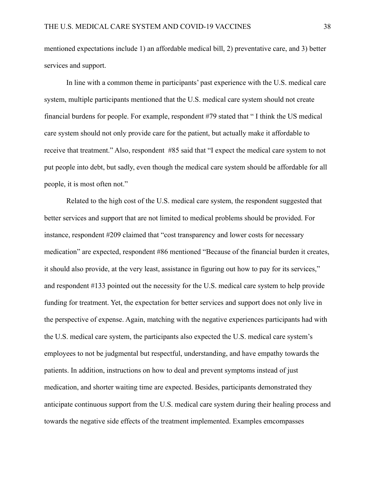mentioned expectations include 1) an affordable medical bill, 2) preventative care, and 3) better services and support.

In line with a common theme in participants' past experience with the U.S. medical care system, multiple participants mentioned that the U.S. medical care system should not create financial burdens for people. For example, respondent #79 stated that " I think the US medical care system should not only provide care for the patient, but actually make it affordable to receive that treatment." Also, respondent #85 said that "I expect the medical care system to not put people into debt, but sadly, even though the medical care system should be affordable for all people, it is most often not."

Related to the high cost of the U.S. medical care system, the respondent suggested that better services and support that are not limited to medical problems should be provided. For instance, respondent #209 claimed that "cost transparency and lower costs for necessary medication" are expected, respondent #86 mentioned "Because of the financial burden it creates, it should also provide, at the very least, assistance in figuring out how to pay for its services," and respondent #133 pointed out the necessity for the U.S. medical care system to help provide funding for treatment. Yet, the expectation for better services and support does not only live in the perspective of expense. Again, matching with the negative experiences participants had with the U.S. medical care system, the participants also expected the U.S. medical care system's employees to not be judgmental but respectful, understanding, and have empathy towards the patients. In addition, instructions on how to deal and prevent symptoms instead of just medication, and shorter waiting time are expected. Besides, participants demonstrated they anticipate continuous support from the U.S. medical care system during their healing process and towards the negative side effects of the treatment implemented. Examples emcompasses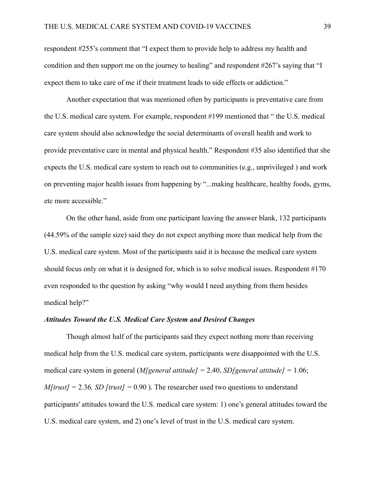respondent #255's comment that "I expect them to provide help to address my health and condition and then support me on the journey to healing" and respondent #267's saying that "I expect them to take care of me if their treatment leads to side effects or addiction."

Another expectation that was mentioned often by participants is preventative care from the U.S. medical care system. For example, respondent #199 mentioned that " the U.S. medical care system should also acknowledge the social determinants of overall health and work to provide preventative care in mental and physical health." Respondent #35 also identified that she expects the U.S. medical care system to reach out to communities (e.g., unprivileged ) and work on preventing major health issues from happening by "...making healthcare, healthy foods, gyms, etc more accessible."

On the other hand, aside from one participant leaving the answer blank, 132 participants (44.59% of the sample size) said they do not expect anything more than medical help from the U.S. medical care system. Most of the participants said it is because the medical care system should focus only on what it is designed for, which is to solve medical issues. Respondent #170 even responded to the question by asking "why would I need anything from them besides medical help?"

#### *Attitudes Toward the U.S. Medical Care System and Desired Changes*

Though almost half of the participants said they expect nothing more than receiving medical help from the U.S. medical care system, participants were disappointed with the U.S. medical care system in general (*M[general attitude] =* 2.40, *SD[general attitude] =* 1.06; *M[trust] =* 2.36*, SD [trust] =* 0.90 ). The researcher used two questions to understand participants' attitudes toward the U.S. medical care system: 1) one's general attitudes toward the U.S. medical care system, and 2) one's level of trust in the U.S. medical care system.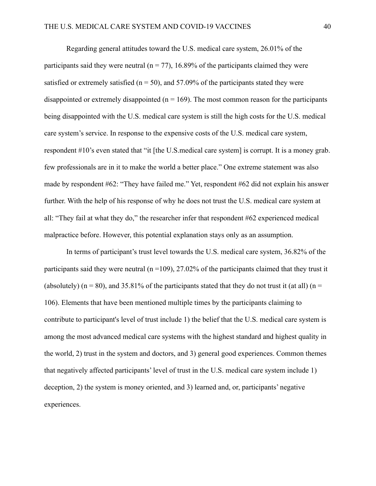Regarding general attitudes toward the U.S. medical care system, 26.01% of the participants said they were neutral ( $n = 77$ ), 16.89% of the participants claimed they were satisfied or extremely satisfied ( $n = 50$ ), and 57.09% of the participants stated they were disappointed or extremely disappointed  $(n = 169)$ . The most common reason for the participants being disappointed with the U.S. medical care system is still the high costs for the U.S. medical care system's service. In response to the expensive costs of the U.S. medical care system, respondent #10's even stated that "it [the U.S.medical care system] is corrupt. It is a money grab. few professionals are in it to make the world a better place." One extreme statement was also made by respondent #62: "They have failed me." Yet, respondent #62 did not explain his answer further. With the help of his response of why he does not trust the U.S. medical care system at all: "They fail at what they do," the researcher infer that respondent #62 experienced medical malpractice before. However, this potential explanation stays only as an assumption.

In terms of participant's trust level towards the U.S. medical care system, 36.82% of the participants said they were neutral ( $n = 109$ ), 27.02% of the participants claimed that they trust it (absolutely) ( $n = 80$ ), and 35.81% of the participants stated that they do not trust it (at all) ( $n =$ 106). Elements that have been mentioned multiple times by the participants claiming to contribute to participant's level of trust include 1) the belief that the U.S. medical care system is among the most advanced medical care systems with the highest standard and highest quality in the world, 2) trust in the system and doctors, and 3) general good experiences. Common themes that negatively affected participants' level of trust in the U.S. medical care system include 1) deception, 2) the system is money oriented, and 3) learned and, or, participants' negative experiences.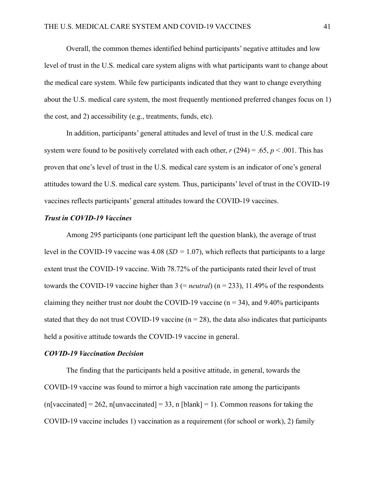Overall, the common themes identified behind participants' negative attitudes and low level of trust in the U.S. medical care system aligns with what participants want to change about the medical care system. While few participants indicated that they want to change everything about the U.S. medical care system, the most frequently mentioned preferred changes focus on 1) the cost, and 2) accessibility (e.g., treatments, funds, etc).

In addition, participants' general attitudes and level of trust in the U.S. medical care system were found to be positively correlated with each other,  $r(294) = .65$ ,  $p < .001$ . This has proven that one's level of trust in the U.S. medical care system is an indicator of one's general attitudes toward the U.S. medical care system. Thus, participants' level of trust in the COVID-19 vaccines reflects participants' general attitudes toward the COVID-19 vaccines.

## *Trust in COVID-19 Vaccines*

Among 295 participants (one participant left the question blank), the average of trust level in the COVID-19 vaccine was 4.08 (*SD =* 1.07), which reflects that participants to a large extent trust the COVID-19 vaccine. With 78.72% of the participants rated their level of trust towards the COVID-19 vaccine higher than 3 (= *neutral*) (n = 233), 11.49% of the respondents claiming they neither trust nor doubt the COVID-19 vaccine ( $n = 34$ ), and 9.40% participants stated that they do not trust COVID-19 vaccine ( $n = 28$ ), the data also indicates that participants held a positive attitude towards the COVID-19 vaccine in general.

### *COVID-19 Vaccination Decision*

The finding that the participants held a positive attitude, in general, towards the COVID-19 vaccine was found to mirror a high vaccination rate among the participants  $(n[vacinated] = 262, n[unvacinated] = 33, n [blank] = 1)$ . Common reasons for taking the COVID-19 vaccine includes 1) vaccination as a requirement (for school or work), 2) family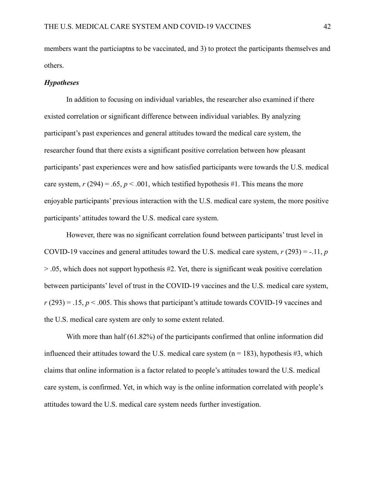members want the particiaptns to be vaccinated, and 3) to protect the participants themselves and others.

#### *Hypotheses*

In addition to focusing on individual variables, the researcher also examined if there existed correlation or significant difference between individual variables. By analyzing participant's past experiences and general attitudes toward the medical care system, the researcher found that there exists a significant positive correlation between how pleasant participants' past experiences were and how satisfied participants were towards the U.S. medical care system,  $r(294) = .65$ ,  $p < .001$ , which testified hypothesis #1. This means the more enjoyable participants' previous interaction with the U.S. medical care system, the more positive participants' attitudes toward the U.S. medical care system.

However, there was no significant correlation found between participants' trust level in COVID-19 vaccines and general attitudes toward the U.S. medical care system, *r* (293) = -.11, *p* > .05, which does not support hypothesis #2. Yet, there is significant weak positive correlation between participants' level of trust in the COVID-19 vaccines and the U.S. medical care system,  $r(293) = .15$ ,  $p < .005$ . This shows that participant's attitude towards COVID-19 vaccines and the U.S. medical care system are only to some extent related.

With more than half (61.82%) of the participants confirmed that online information did influenced their attitudes toward the U.S. medical care system  $(n = 183)$ , hypothesis #3, which claims that online information is a factor related to people's attitudes toward the U.S. medical care system, is confirmed. Yet, in which way is the online information correlated with people's attitudes toward the U.S. medical care system needs further investigation.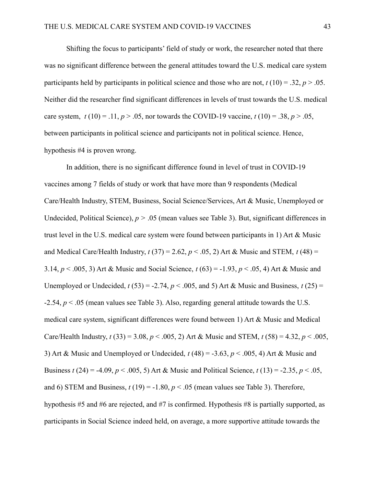Shifting the focus to participants' field of study or work, the researcher noted that there was no significant difference between the general attitudes toward the U.S. medical care system participants held by participants in political science and those who are not,  $t(10) = .32$ ,  $p > .05$ . Neither did the researcher find significant differences in levels of trust towards the U.S. medical care system,  $t(10) = .11$ ,  $p > .05$ , nor towards the COVID-19 vaccine,  $t(10) = .38$ ,  $p > .05$ , between participants in political science and participants not in political science. Hence, hypothesis #4 is proven wrong.

In addition, there is no significant difference found in level of trust in COVID-19 vaccines among 7 fields of study or work that have more than 9 respondents (Medical Care/Health Industry, STEM, Business, Social Science/Services, Art & Music, Unemployed or Undecided, Political Science),  $p > .05$  (mean values see Table 3). But, significant differences in trust level in the U.S. medical care system were found between participants in 1) Art & Music and Medical Care/Health Industry,  $t(37) = 2.62$ ,  $p < .05$ , 2) Art & Music and STEM,  $t(48) =$ 3.14, *p* < .005, 3) Art & Music and Social Science, *t* (63) = -1.93, *p* < .05, 4) Art & Music and Unemployed or Undecided,  $t(53) = -2.74$ ,  $p < .005$ , and 5) Art & Music and Business,  $t(25) =$ -2.54, *p* < .05 (mean values see Table 3). Also, regarding general attitude towards the U.S. medical care system, significant differences were found between 1) Art & Music and Medical Care/Health Industry,  $t(33) = 3.08$ ,  $p < .005$ , 2) Art & Music and STEM,  $t(58) = 4.32$ ,  $p < .005$ , 3) Art & Music and Unemployed or Undecided, *t* (48) = -3.63, *p* < .005, 4) Art & Music and Business *t* (24) = -4.09, *p* < .005, 5) Art & Music and Political Science, *t* (13) = -2.35, *p* < .05, and 6) STEM and Business,  $t(19) = -1.80$ ,  $p < .05$  (mean values see Table 3). Therefore, hypothesis #5 and #6 are rejected, and #7 is confirmed. Hypothesis #8 is partially supported, as participants in Social Science indeed held, on average, a more supportive attitude towards the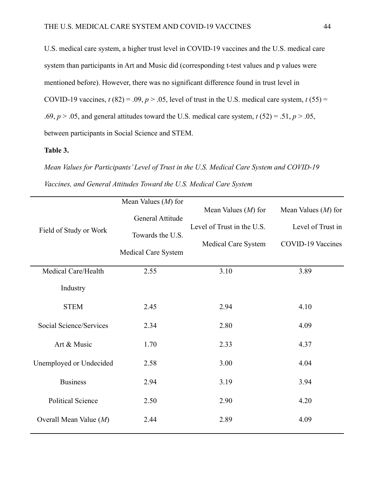U.S. medical care system, a higher trust level in COVID-19 vaccines and the U.S. medical care system than participants in Art and Music did (corresponding t-test values and p values were mentioned before). However, there was no significant difference found in trust level in COVID-19 vaccines,  $t(82) = .09$ ,  $p > .05$ , level of trust in the U.S. medical care system,  $t(55) =$ .69,  $p > 0.05$ , and general attitudes toward the U.S. medical care system,  $t(52) = 0.51$ ,  $p > 0.05$ , between participants in Social Science and STEM.

## **Table 3.**

*Mean Values for Participants' Level of Trust in the U.S. Medical Care System and COVID-19 Vaccines, and General Attitudes Toward the U.S. Medical Care System*

|                          | Mean Values $(M)$ for |                            |                          |
|--------------------------|-----------------------|----------------------------|--------------------------|
|                          | General Attitude      | Mean Values $(M)$ for      | Mean Values $(M)$ for    |
| Field of Study or Work   |                       | Level of Trust in the U.S. | Level of Trust in        |
|                          | Towards the U.S.      | Medical Care System        | <b>COVID-19 Vaccines</b> |
|                          | Medical Care System   |                            |                          |
| Medical Care/Health      | 2.55                  | 3.10                       | 3.89                     |
| Industry                 |                       |                            |                          |
| <b>STEM</b>              | 2.45                  | 2.94                       | 4.10                     |
| Social Science/Services  | 2.34                  | 2.80                       | 4.09                     |
| Art & Music              | 1.70                  | 2.33                       | 4.37                     |
| Unemployed or Undecided  | 2.58                  | 3.00                       | 4.04                     |
| <b>Business</b>          | 2.94                  | 3.19                       | 3.94                     |
| <b>Political Science</b> | 2.50                  | 2.90                       | 4.20                     |
| Overall Mean Value $(M)$ | 2.44                  | 2.89                       | 4.09                     |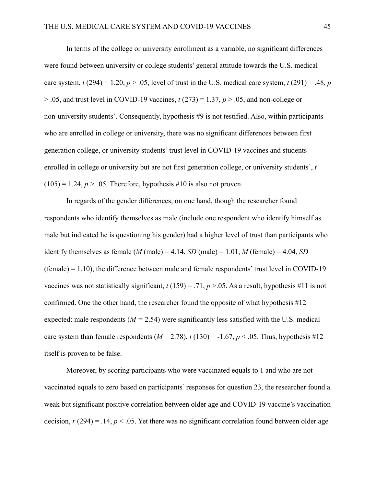In terms of the college or university enrollment as a variable, no significant differences were found between university or college students' general attitude towards the U.S. medical care system,  $t(294) = 1.20$ ,  $p > 0.05$ , level of trust in the U.S. medical care system,  $t(291) = 0.48$ , *p* > .05, and trust level in COVID-19 vaccines, *t* (273) = 1.37, *p* > .05, and non-college or non-university students'. Consequently, hypothesis #9 is not testified. Also, within participants who are enrolled in college or university, there was no significant differences between first generation college, or university students' trust level in COVID-19 vaccines and students enrolled in college or university but are not first generation college, or university students', *t*  $(105) = 1.24$ ,  $p > .05$ . Therefore, hypothesis #10 is also not proven.

In regards of the gender differences, on one hand, though the researcher found respondents who identify themselves as male (include one respondent who identify himself as male but indicated he is questioning his gender) had a higher level of trust than participants who identify themselves as female  $(M \text{ (male)} = 4.14, SD \text{ (male)} = 1.01, M \text{ (female)} = 4.04, SD$  $(female) = 1.10$ , the difference between male and female respondents' trust level in COVID-19 vaccines was not statistically significant,  $t(159) = .71$ ,  $p > .05$ . As a result, hypothesis #11 is not confirmed. One the other hand, the researcher found the opposite of what hypothesis #12 expected: male respondents  $(M = 2.54)$  were significantly less satisfied with the U.S. medical care system than female respondents  $(M = 2.78)$ ,  $t(130) = -1.67$ ,  $p < .05$ . Thus, hypothesis #12 itself is proven to be false.

Moreover, by scoring participants who were vaccinated equals to 1 and who are not vaccinated equals to zero based on participants' responses for question 23, the researcher found a weak but significant positive correlation between older age and COVID-19 vaccine's vaccination decision,  $r(294) = 0.14$ ,  $p < 0.05$ . Yet there was no significant correlation found between older age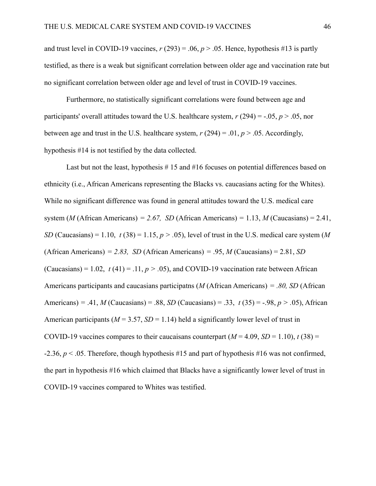and trust level in COVID-19 vaccines,  $r(293) = .06$ ,  $p > .05$ . Hence, hypothesis #13 is partly testified, as there is a weak but significant correlation between older age and vaccination rate but no significant correlation between older age and level of trust in COVID-19 vaccines.

Furthermore, no statistically significant correlations were found between age and participants' overall attitudes toward the U.S. healthcare system,  $r(294) = -0.05$ ,  $p > 0.05$ , nor between age and trust in the U.S. healthcare system,  $r(294) = .01$ ,  $p > .05$ . Accordingly, hypothesis #14 is not testified by the data collected.

Last but not the least, hypothesis  $# 15$  and  $#16$  focuses on potential differences based on ethnicity (i.e., African Americans representing the Blacks vs. caucasians acting for the Whites). While no significant difference was found in general attitudes toward the U.S. medical care system (*M* (African Americans)  $= 2.67$ , *SD* (African Americans)  $= 1.13$ , *M* (Caucasians)  $= 2.41$ , *SD* (Caucasians) = 1.10,  $t(38) = 1.15$ ,  $p > .05$ ), level of trust in the U.S. medical care system (*M* (African Americans) *= 2.83, SD* (African Americans) *=* .95, *M* (Caucasians) = 2.81, *SD* (Caucasians) = 1.02,  $t(41) = .11, p > .05$ ), and COVID-19 vaccination rate between African Americans participants and caucasians participatns (*M* (African Americans) *= .80, SD* (African Americans) = .41, *M* (Caucasians) = .88, *SD* (Caucasians) = .33,  $t(35) = -0.98$ ,  $p > 0.05$ ), African American participants ( $M = 3.57$ ,  $SD = 1.14$ ) held a significantly lower level of trust in COVID-19 vaccines compares to their caucaisans counterpart  $(M = 4.09, SD = 1.10)$ ,  $t(38) =$ -2.36, *p* < .05. Therefore, though hypothesis #15 and part of hypothesis #16 was not confirmed, the part in hypothesis #16 which claimed that Blacks have a significantly lower level of trust in COVID-19 vaccines compared to Whites was testified.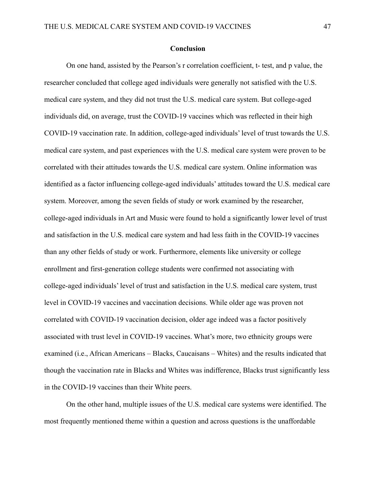## **Conclusion**

On one hand, assisted by the Pearson's r correlation coefficient, t- test, and p value, the researcher concluded that college aged individuals were generally not satisfied with the U.S. medical care system, and they did not trust the U.S. medical care system. But college-aged individuals did, on average, trust the COVID-19 vaccines which was reflected in their high COVID-19 vaccination rate. In addition, college-aged individuals' level of trust towards the U.S. medical care system, and past experiences with the U.S. medical care system were proven to be correlated with their attitudes towards the U.S. medical care system. Online information was identified as a factor influencing college-aged individuals' attitudes toward the U.S. medical care system. Moreover, among the seven fields of study or work examined by the researcher, college-aged individuals in Art and Music were found to hold a significantly lower level of trust and satisfaction in the U.S. medical care system and had less faith in the COVID-19 vaccines than any other fields of study or work. Furthermore, elements like university or college enrollment and first-generation college students were confirmed not associating with college-aged individuals' level of trust and satisfaction in the U.S. medical care system, trust level in COVID-19 vaccines and vaccination decisions. While older age was proven not correlated with COVID-19 vaccination decision, older age indeed was a factor positively associated with trust level in COVID-19 vaccines. What's more, two ethnicity groups were examined (i.e., African Americans – Blacks, Caucaisans – Whites) and the results indicated that though the vaccination rate in Blacks and Whites was indifference, Blacks trust significantly less in the COVID-19 vaccines than their White peers.

On the other hand, multiple issues of the U.S. medical care systems were identified. The most frequently mentioned theme within a question and across questions is the unaffordable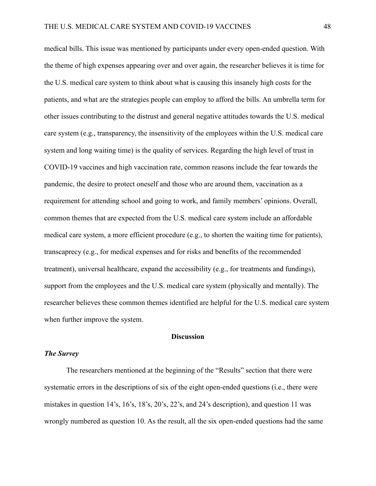medical bills. This issue was mentioned by participants under every open-ended question. With the theme of high expenses appearing over and over again, the researcher believes it is time for the U.S. medical care system to think about what is causing this insanely high costs for the patients, and what are the strategies people can employ to afford the bills. An umbrella term for other issues contributing to the distrust and general negative attitudes towards the U.S. medical care system (e.g., transparency, the insensitivity of the employees within the U.S. medical care system and long waiting time) is the quality of services. Regarding the high level of trust in COVID-19 vaccines and high vaccination rate, common reasons include the fear towards the pandemic, the desire to protect oneself and those who are around them, vaccination as a requirement for attending school and going to work, and family members' opinions. Overall, common themes that are expected from the U.S. medical care system include an affordable medical care system, a more efficient procedure (e.g., to shorten the waiting time for patients), transcaprecy (e.g., for medical expenses and for risks and benefits of the recommended treatment), universal healthcare, expand the accessibility (e.g., for treatments and fundings), support from the employees and the U.S. medical care system (physically and mentally). The researcher believes these common themes identified are helpful for the U.S. medical care system when further improve the system.

## **Discussion**

## *The Survey*

The researchers mentioned at the beginning of the "Results" section that there were systematic errors in the descriptions of six of the eight open-ended questions (i.e., there were mistakes in question 14's, 16's, 18's, 20's, 22's, and 24's description), and question 11 was wrongly numbered as question 10. As the result, all the six open-ended questions had the same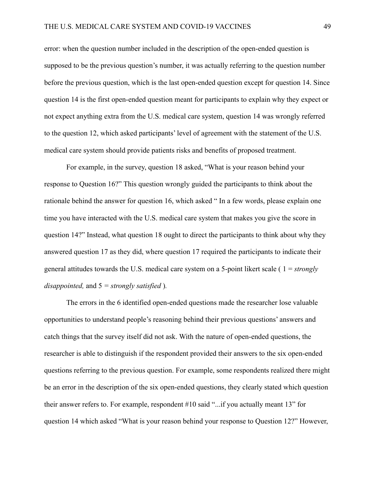error: when the question number included in the description of the open-ended question is supposed to be the previous question's number, it was actually referring to the question number before the previous question, which is the last open-ended question except for question 14. Since question 14 is the first open-ended question meant for participants to explain why they expect or not expect anything extra from the U.S. medical care system, question 14 was wrongly referred to the question 12, which asked participants' level of agreement with the statement of the U.S. medical care system should provide patients risks and benefits of proposed treatment.

For example, in the survey, question 18 asked, "What is your reason behind your response to Question 16?" This question wrongly guided the participants to think about the rationale behind the answer for question 16, which asked " In a few words, please explain one time you have interacted with the U.S. medical care system that makes you give the score in question 14?" Instead, what question 18 ought to direct the participants to think about why they answered question 17 as they did, where question 17 required the participants to indicate their general attitudes towards the U.S. medical care system on a 5-point likert scale ( 1 = *strongly disappointed,* and 5 *= strongly satisfied* )*.*

The errors in the 6 identified open-ended questions made the researcher lose valuable opportunities to understand people's reasoning behind their previous questions' answers and catch things that the survey itself did not ask. With the nature of open-ended questions, the researcher is able to distinguish if the respondent provided their answers to the six open-ended questions referring to the previous question. For example, some respondents realized there might be an error in the description of the six open-ended questions, they clearly stated which question their answer refers to. For example, respondent #10 said "...if you actually meant 13" for question 14 which asked "What is your reason behind your response to Question 12?" However,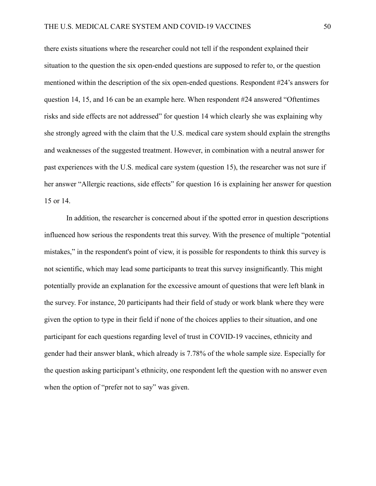there exists situations where the researcher could not tell if the respondent explained their situation to the question the six open-ended questions are supposed to refer to, or the question mentioned within the description of the six open-ended questions. Respondent #24's answers for question 14, 15, and 16 can be an example here. When respondent #24 answered "Oftentimes risks and side effects are not addressed" for question 14 which clearly she was explaining why she strongly agreed with the claim that the U.S. medical care system should explain the strengths and weaknesses of the suggested treatment. However, in combination with a neutral answer for past experiences with the U.S. medical care system (question 15), the researcher was not sure if her answer "Allergic reactions, side effects" for question 16 is explaining her answer for question 15 or 14.

In addition, the researcher is concerned about if the spotted error in question descriptions influenced how serious the respondents treat this survey. With the presence of multiple "potential mistakes," in the respondent's point of view, it is possible for respondents to think this survey is not scientific, which may lead some participants to treat this survey insignificantly. This might potentially provide an explanation for the excessive amount of questions that were left blank in the survey. For instance, 20 participants had their field of study or work blank where they were given the option to type in their field if none of the choices applies to their situation, and one participant for each questions regarding level of trust in COVID-19 vaccines, ethnicity and gender had their answer blank, which already is 7.78% of the whole sample size. Especially for the question asking participant's ethnicity, one respondent left the question with no answer even when the option of "prefer not to say" was given.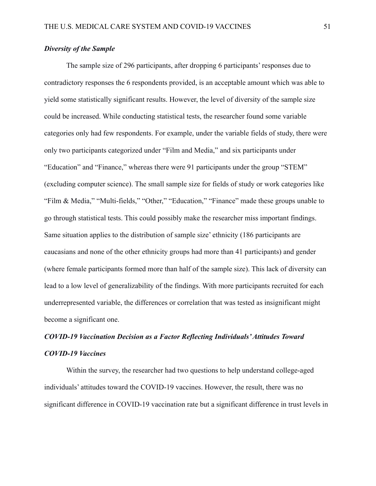## *Diversity of the Sample*

The sample size of 296 participants, after dropping 6 participants' responses due to contradictory responses the 6 respondents provided, is an acceptable amount which was able to yield some statistically significant results. However, the level of diversity of the sample size could be increased. While conducting statistical tests, the researcher found some variable categories only had few respondents. For example, under the variable fields of study, there were only two participants categorized under "Film and Media," and six participants under "Education" and "Finance," whereas there were 91 participants under the group "STEM" (excluding computer science). The small sample size for fields of study or work categories like "Film & Media," "Multi-fields," "Other," "Education," "Finance" made these groups unable to go through statistical tests. This could possibly make the researcher miss important findings. Same situation applies to the distribution of sample size' ethnicity (186 participants are caucasians and none of the other ethnicity groups had more than 41 participants) and gender (where female participants formed more than half of the sample size). This lack of diversity can lead to a low level of generalizability of the findings. With more participants recruited for each underrepresented variable, the differences or correlation that was tested as insignificant might become a significant one.

# *COVID-19 Vaccination Decision as a Factor Reflecting Individuals'Attitudes Toward COVID-19 Vaccines*

Within the survey, the researcher had two questions to help understand college-aged individuals' attitudes toward the COVID-19 vaccines. However, the result, there was no significant difference in COVID-19 vaccination rate but a significant difference in trust levels in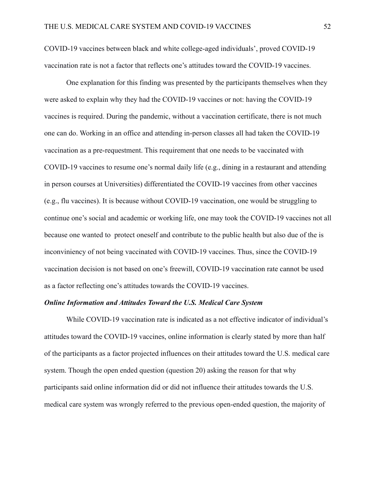COVID-19 vaccines between black and white college-aged individuals', proved COVID-19 vaccination rate is not a factor that reflects one's attitudes toward the COVID-19 vaccines.

One explanation for this finding was presented by the participants themselves when they were asked to explain why they had the COVID-19 vaccines or not: having the COVID-19 vaccines is required. During the pandemic, without a vaccination certificate, there is not much one can do. Working in an office and attending in-person classes all had taken the COVID-19 vaccination as a pre-requestment. This requirement that one needs to be vaccinated with COVID-19 vaccines to resume one's normal daily life (e.g., dining in a restaurant and attending in person courses at Universities) differentiated the COVID-19 vaccines from other vaccines (e.g., flu vaccines). It is because without COVID-19 vaccination, one would be struggling to continue one's social and academic or working life, one may took the COVID-19 vaccines not all because one wanted to protect oneself and contribute to the public health but also due of the is inconviniency of not being vaccinated with COVID-19 vaccines. Thus, since the COVID-19 vaccination decision is not based on one's freewill, COVID-19 vaccination rate cannot be used as a factor reflecting one's attitudes towards the COVID-19 vaccines.

### *Online Information and Attitudes Toward the U.S. Medical Care System*

While COVID-19 vaccination rate is indicated as a not effective indicator of individual's attitudes toward the COVID-19 vaccines, online information is clearly stated by more than half of the participants as a factor projected influences on their attitudes toward the U.S. medical care system. Though the open ended question (question 20) asking the reason for that why participants said online information did or did not influence their attitudes towards the U.S. medical care system was wrongly referred to the previous open-ended question, the majority of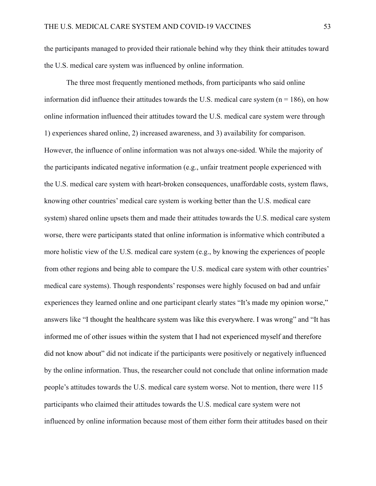the participants managed to provided their rationale behind why they think their attitudes toward the U.S. medical care system was influenced by online information.

The three most frequently mentioned methods, from participants who said online information did influence their attitudes towards the U.S. medical care system ( $n = 186$ ), on how online information influenced their attitudes toward the U.S. medical care system were through 1) experiences shared online, 2) increased awareness, and 3) availability for comparison. However, the influence of online information was not always one-sided. While the majority of the participants indicated negative information (e.g., unfair treatment people experienced with the U.S. medical care system with heart-broken consequences, unaffordable costs, system flaws, knowing other countries' medical care system is working better than the U.S. medical care system) shared online upsets them and made their attitudes towards the U.S. medical care system worse, there were participants stated that online information is informative which contributed a more holistic view of the U.S. medical care system (e.g., by knowing the experiences of people from other regions and being able to compare the U.S. medical care system with other countries' medical care systems). Though respondents' responses were highly focused on bad and unfair experiences they learned online and one participant clearly states "It's made my opinion worse," answers like "I thought the healthcare system was like this everywhere. I was wrong" and "It has informed me of other issues within the system that I had not experienced myself and therefore did not know about" did not indicate if the participants were positively or negatively influenced by the online information. Thus, the researcher could not conclude that online information made people's attitudes towards the U.S. medical care system worse. Not to mention, there were 115 participants who claimed their attitudes towards the U.S. medical care system were not influenced by online information because most of them either form their attitudes based on their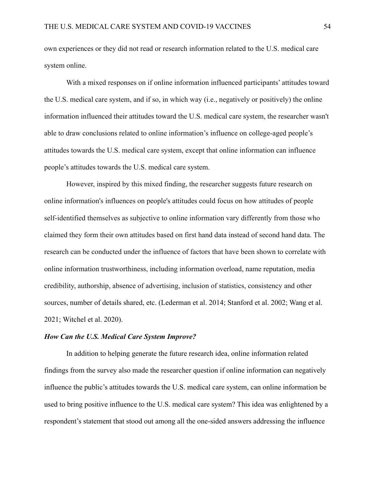own experiences or they did not read or research information related to the U.S. medical care system online.

With a mixed responses on if online information influenced participants' attitudes toward the U.S. medical care system, and if so, in which way (i.e., negatively or positively) the online information influenced their attitudes toward the U.S. medical care system, the researcher wasn't able to draw conclusions related to online information's influence on college-aged people's attitudes towards the U.S. medical care system, except that online information can influence people's attitudes towards the U.S. medical care system.

However, inspired by this mixed finding, the researcher suggests future research on online information's influences on people's attitudes could focus on how attitudes of people self-identified themselves as subjective to online information vary differently from those who claimed they form their own attitudes based on first hand data instead of second hand data. The research can be conducted under the influence of factors that have been shown to correlate with online information trustworthiness, including information overload, name reputation, media credibility, authorship, absence of advertising, inclusion of statistics, consistency and other sources, number of details shared, etc. (Lederman et al. 2014; Stanford et al. 2002; Wang et al. 2021; Witchel et al. 2020).

### *How Can the U.S. Medical Care System Improve?*

In addition to helping generate the future research idea, online information related findings from the survey also made the researcher question if online information can negatively influence the public's attitudes towards the U.S. medical care system, can online information be used to bring positive influence to the U.S. medical care system? This idea was enlightened by a respondent's statement that stood out among all the one-sided answers addressing the influence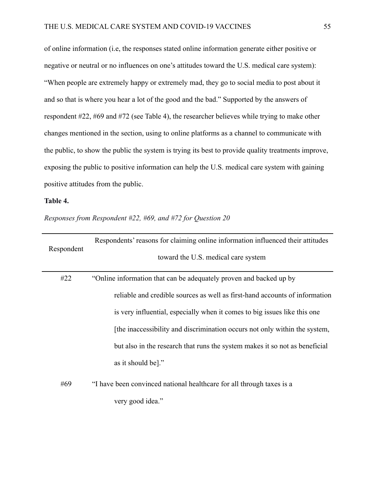of online information (i.e, the responses stated online information generate either positive or negative or neutral or no influences on one's attitudes toward the U.S. medical care system): "When people are extremely happy or extremely mad, they go to social media to post about it and so that is where you hear a lot of the good and the bad." Supported by the answers of respondent #22, #69 and #72 (see Table 4), the researcher believes while trying to make other changes mentioned in the section, using to online platforms as a channel to communicate with the public, to show the public the system is trying its best to provide quality treatments improve, exposing the public to positive information can help the U.S. medical care system with gaining positive attitudes from the public.

## **Table 4.**

*Responses from Respondent #22, #69, and #72 for Question 20*

|            | Respondents' reasons for claiming online information influenced their attitudes |
|------------|---------------------------------------------------------------------------------|
| Respondent | toward the U.S. medical care system                                             |
| #22        | "Online information that can be adequately proven and backed up by              |
|            | reliable and credible sources as well as first-hand accounts of information     |
|            | is very influential, especially when it comes to big issues like this one       |
|            | [the inaccessibility and discrimination occurs not only within the system,      |
|            | but also in the research that runs the system makes it so not as beneficial     |
|            | as it should be]."                                                              |
| #69        | "I have been convinced national healthcare for all through taxes is a           |
|            | very good idea."                                                                |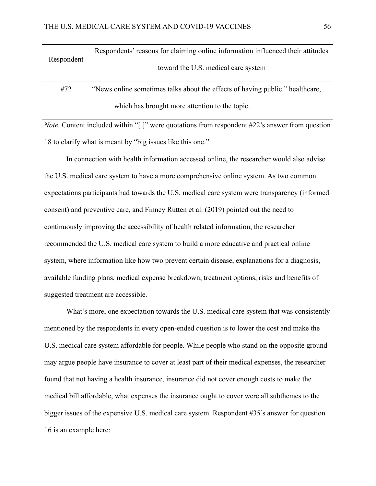| Respondent | Respondents' reasons for claiming online information influenced their attitudes<br>toward the U.S. medical care system |
|------------|------------------------------------------------------------------------------------------------------------------------|
| #72        | "News online sometimes talks about the effects of having public." healthcare,                                          |
|            | which has brought more attention to the topic.                                                                         |

*Note.* Content included within "[]" were quotations from respondent #22's answer from question 18 to clarify what is meant by "big issues like this one."

In connection with health information accessed online, the researcher would also advise the U.S. medical care system to have a more comprehensive online system. As two common expectations participants had towards the U.S. medical care system were transparency (informed consent) and preventive care, and Finney Rutten et al. (2019) pointed out the need to continuously improving the accessibility of health related information, the researcher recommended the U.S. medical care system to build a more educative and practical online system, where information like how two prevent certain disease, explanations for a diagnosis, available funding plans, medical expense breakdown, treatment options, risks and benefits of suggested treatment are accessible.

What's more, one expectation towards the U.S. medical care system that was consistently mentioned by the respondents in every open-ended question is to lower the cost and make the U.S. medical care system affordable for people. While people who stand on the opposite ground may argue people have insurance to cover at least part of their medical expenses, the researcher found that not having a health insurance, insurance did not cover enough costs to make the medical bill affordable, what expenses the insurance ought to cover were all subthemes to the bigger issues of the expensive U.S. medical care system. Respondent #35's answer for question 16 is an example here: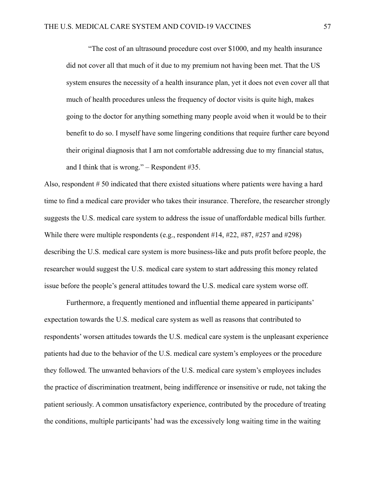"The cost of an ultrasound procedure cost over \$1000, and my health insurance did not cover all that much of it due to my premium not having been met. That the US system ensures the necessity of a health insurance plan, yet it does not even cover all that much of health procedures unless the frequency of doctor visits is quite high, makes going to the doctor for anything something many people avoid when it would be to their benefit to do so. I myself have some lingering conditions that require further care beyond their original diagnosis that I am not comfortable addressing due to my financial status, and I think that is wrong." – Respondent #35.

Also, respondent # 50 indicated that there existed situations where patients were having a hard time to find a medical care provider who takes their insurance. Therefore, the researcher strongly suggests the U.S. medical care system to address the issue of unaffordable medical bills further. While there were multiple respondents (e.g., respondent  $\#14$ ,  $\#22$ ,  $\#87$ ,  $\#257$  and  $\#298$ ) describing the U.S. medical care system is more business-like and puts profit before people, the researcher would suggest the U.S. medical care system to start addressing this money related issue before the people's general attitudes toward the U.S. medical care system worse off.

Furthermore, a frequently mentioned and influential theme appeared in participants' expectation towards the U.S. medical care system as well as reasons that contributed to respondents' worsen attitudes towards the U.S. medical care system is the unpleasant experience patients had due to the behavior of the U.S. medical care system's employees or the procedure they followed. The unwanted behaviors of the U.S. medical care system's employees includes the practice of discrimination treatment, being indifference or insensitive or rude, not taking the patient seriously. A common unsatisfactory experience, contributed by the procedure of treating the conditions, multiple participants' had was the excessively long waiting time in the waiting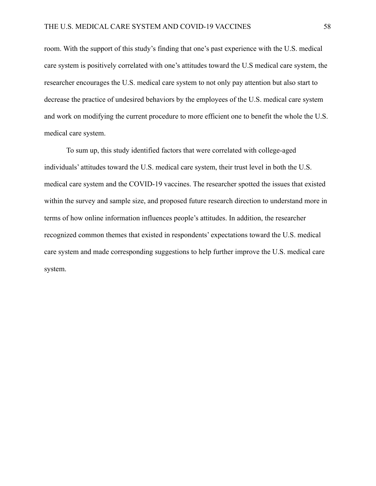room. With the support of this study's finding that one's past experience with the U.S. medical care system is positively correlated with one's attitudes toward the U.S medical care system, the researcher encourages the U.S. medical care system to not only pay attention but also start to decrease the practice of undesired behaviors by the employees of the U.S. medical care system and work on modifying the current procedure to more efficient one to benefit the whole the U.S. medical care system.

To sum up, this study identified factors that were correlated with college-aged individuals' attitudes toward the U.S. medical care system, their trust level in both the U.S. medical care system and the COVID-19 vaccines. The researcher spotted the issues that existed within the survey and sample size, and proposed future research direction to understand more in terms of how online information influences people's attitudes. In addition, the researcher recognized common themes that existed in respondents' expectations toward the U.S. medical care system and made corresponding suggestions to help further improve the U.S. medical care system.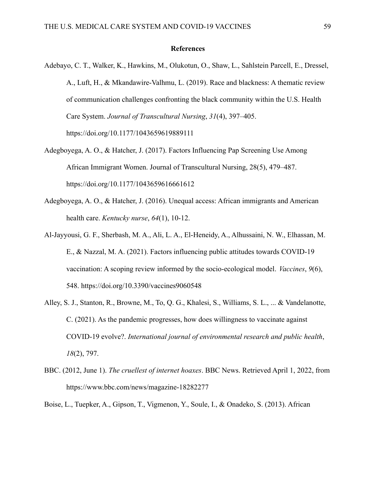#### **References**

- Adebayo, C. T., Walker, K., Hawkins, M., Olukotun, O., Shaw, L., Sahlstein Parcell, E., Dressel, A., Luft, H., & Mkandawire-Valhmu, L. (2019). Race and blackness: A thematic review of communication challenges confronting the black community within the U.S. Health Care System. *Journal of Transcultural Nursing*, *31*(4), 397–405. https://doi.org/10.1177/1043659619889111
- Adegboyega, A. O., & Hatcher, J. (2017). Factors Influencing Pap Screening Use Among African Immigrant Women. Journal of Transcultural Nursing, 28(5), 479–487. https://doi.org/10.1177/1043659616661612
- Adegboyega, A. O., & Hatcher, J. (2016). Unequal access: African immigrants and American health care. *Kentucky nurse*, *64*(1), 10-12.
- Al-Jayyousi, G. F., Sherbash, M. A., Ali, L. A., El-Heneidy, A., Alhussaini, N. W., Elhassan, M. E., & Nazzal, M. A. (2021). Factors influencing public attitudes towards COVID-19 vaccination: A scoping review informed by the socio-ecological model. *Vaccines*, *9*(6), 548. https://doi.org/10.3390/vaccines9060548
- Alley, S. J., Stanton, R., Browne, M., To, Q. G., Khalesi, S., Williams, S. L., ... & Vandelanotte, C. (2021). As the pandemic progresses, how does willingness to vaccinate against COVID-19 evolve?. *International journal of environmental research and public health*, *18*(2), 797.
- BBC. (2012, June 1). *The cruellest of internet hoaxes*. BBC News. Retrieved April 1, 2022, from https://www.bbc.com/news/magazine-18282277
- Boise, L., Tuepker, A., Gipson, T., Vigmenon, Y., Soule, I., & Onadeko, S. (2013). African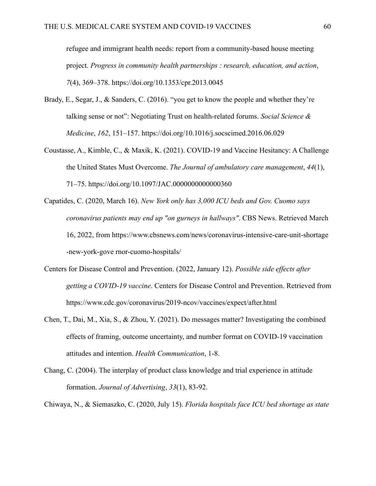refugee and immigrant health needs: report from a community-based house meeting project. *Progress in community health partnerships : research, education, and action*, *7*(4), 369–378. https://doi.org/10.1353/cpr.2013.0045

- Brady, E., Segar, J., & Sanders, C. (2016). "you get to know the people and whether they're talking sense or not": Negotiating Trust on health-related forums. *Social Science & Medicine*, *162*, 151–157. https://doi.org/10.1016/j.socscimed.2016.06.029
- Coustasse, A., Kimble, C., & Maxik, K. (2021). COVID-19 and Vaccine Hesitancy: A Challenge the United States Must Overcome. *The Journal of ambulatory care management*, *44*(1), 71–75. https://doi.org/10.1097/JAC.0000000000000360
- Capatides, C. (2020, March 16). *New York only has 3,000 ICU beds and Gov. Cuomo says coronavirus patients may end up "on gurneys in hallways"*. CBS News. Retrieved March 16, 2022, from https://www.cbsnews.com/news/coronavirus-intensive-care-unit-shortage -new-york-gove rnor-cuomo-hospitals/
- Centers for Disease Control and Prevention. (2022, January 12). *Possible side effects after getting a COVID-19 vaccine*. Centers for Disease Control and Prevention. Retrieved from https://www.cdc.gov/coronavirus/2019-ncov/vaccines/expect/after.html
- Chen, T., Dai, M., Xia, S., & Zhou, Y. (2021). Do messages matter? Investigating the combined effects of framing, outcome uncertainty, and number format on COVID-19 vaccination attitudes and intention. *Health Communication*, 1-8.
- Chang, C. (2004). The interplay of product class knowledge and trial experience in attitude formation. *Journal of Advertising*, *33*(1), 83-92.

Chiwaya, N., & Siemaszko, C. (2020, July 15). *Florida hospitals face ICU bed shortage as state*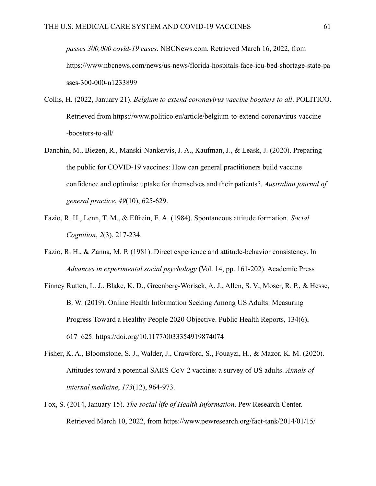*passes 300,000 covid-19 cases*. NBCNews.com. Retrieved March 16, 2022, from https://www.nbcnews.com/news/us-news/florida-hospitals-face-icu-bed-shortage-state-pa sses-300-000-n1233899

- Collis, H. (2022, January 21). *Belgium to extend coronavirus vaccine boosters to all*. POLITICO. Retrieved from https://www.politico.eu/article/belgium-to-extend-coronavirus-vaccine -boosters-to-all/
- Danchin, M., Biezen, R., Manski-Nankervis, J. A., Kaufman, J., & Leask, J. (2020). Preparing the public for COVID-19 vaccines: How can general practitioners build vaccine confidence and optimise uptake for themselves and their patients?. *Australian journal of general practice*, *49*(10), 625-629.
- Fazio, R. H., Lenn, T. M., & Effrein, E. A. (1984). Spontaneous attitude formation. *Social Cognition*, *2*(3), 217-234.
- Fazio, R. H., & Zanna, M. P. (1981). Direct experience and attitude-behavior consistency. In *Advances in experimental social psychology* (Vol. 14, pp. 161-202). Academic Press
- Finney Rutten, L. J., Blake, K. D., Greenberg-Worisek, A. J., Allen, S. V., Moser, R. P., & Hesse, B. W. (2019). Online Health Information Seeking Among US Adults: Measuring Progress Toward a Healthy People 2020 Objective. Public Health Reports, 134(6), 617–625. https://doi.org/10.1177/0033354919874074
- Fisher, K. A., Bloomstone, S. J., Walder, J., Crawford, S., Fouayzi, H., & Mazor, K. M. (2020). Attitudes toward a potential SARS-CoV-2 vaccine: a survey of US adults. *Annals of internal medicine*, *173*(12), 964-973.
- Fox, S. (2014, January 15). *The social life of Health Information*. Pew Research Center. Retrieved March 10, 2022, from https://www.pewresearch.org/fact-tank/2014/01/15/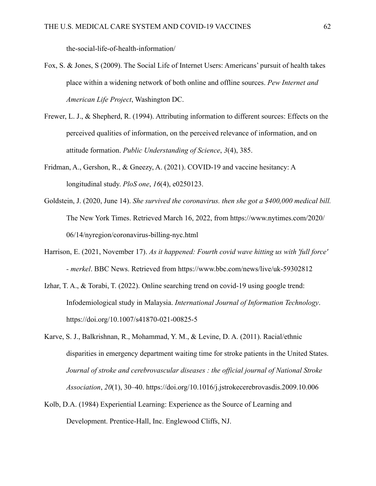the-social-life-of-health-information/

- Fox, S. & Jones, S (2009). The Social Life of Internet Users: Americans' pursuit of health takes place within a widening network of both online and offline sources. *Pew Internet and American Life Project*, Washington DC.
- Frewer, L. J., & Shepherd, R. (1994). Attributing information to different sources: Effects on the perceived qualities of information, on the perceived relevance of information, and on attitude formation. *Public Understanding of Science*, *3*(4), 385.
- Fridman, A., Gershon, R., & Gneezy, A. (2021). COVID-19 and vaccine hesitancy: A longitudinal study. *PloS one*, *16*(4), e0250123.
- Goldstein, J. (2020, June 14). *She survived the coronavirus. then she got a \$400,000 medical bill.* The New York Times. Retrieved March 16, 2022, from https://www.nytimes.com/2020/ 06/14/nyregion/coronavirus-billing-nyc.html
- Harrison, E. (2021, November 17). *As it happened: Fourth covid wave hitting us with 'full force' - merkel*. BBC News. Retrieved from https://www.bbc.com/news/live/uk-59302812
- Izhar, T. A., & Torabi, T. (2022). Online searching trend on covid-19 using google trend: Infodemiological study in Malaysia. *International Journal of Information Technology*. https://doi.org/10.1007/s41870-021-00825-5
- Karve, S. J., Balkrishnan, R., Mohammad, Y. M., & Levine, D. A. (2011). Racial/ethnic disparities in emergency department waiting time for stroke patients in the United States. *Journal of stroke and cerebrovascular diseases : the official journal of National Stroke Association*, *20*(1), 30–40. https://doi.org/10.1016/j.jstrokecerebrovasdis.2009.10.006
- Kolb, D.A. (1984) Experiential Learning: Experience as the Source of Learning and Development. Prentice-Hall, Inc. Englewood Cliffs, NJ.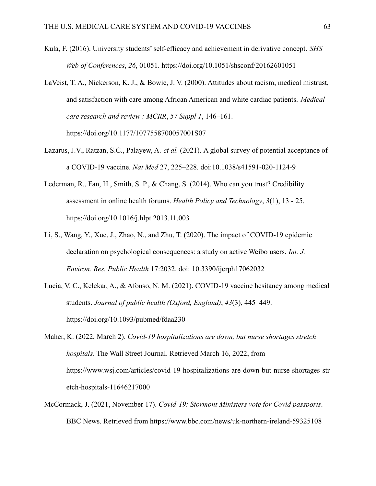- Kula, F. (2016). University students' self-efficacy and achievement in derivative concept. *SHS Web of Conferences*, *26*, 01051. https://doi.org/10.1051/shsconf/20162601051
- LaVeist, T. A., Nickerson, K. J., & Bowie, J. V. (2000). Attitudes about racism, medical mistrust, and satisfaction with care among African American and white cardiac patients. *Medical care research and review : MCRR*, *57 Suppl 1*, 146–161. https://doi.org/10.1177/1077558700057001S07
- Lazarus, J.V., Ratzan, S.C., Palayew, A. *et al.* (2021). A global survey of potential acceptance of a COVID-19 vaccine. *Nat Med* 27, 225–228. doi:10.1038/s41591-020-1124-9
- Lederman, R., Fan, H., Smith, S. P., & Chang, S. (2014). Who can you trust? Credibility assessment in online health forums. *Health Policy and Technology*, *3*(1), 13 - 25. https://doi.org/10.1016/j.hlpt.2013.11.003
- Li, S., Wang, Y., Xue, J., Zhao, N., and Zhu, T. (2020). The impact of COVID-19 epidemic declaration on psychological consequences: a study on active Weibo users. *Int. J. Environ. Res. Public Health* 17:2032. doi: 10.3390/ijerph17062032
- Lucia, V. C., Kelekar, A., & Afonso, N. M. (2021). COVID-19 vaccine hesitancy among medical students. *Journal of public health (Oxford, England)*, *43*(3), 445–449. https://doi.org/10.1093/pubmed/fdaa230

Maher, K. (2022, March 2). *Covid-19 hospitalizations are down, but nurse shortages stretch hospitals*. The Wall Street Journal. Retrieved March 16, 2022, from https://www.wsj.com/articles/covid-19-hospitalizations-are-down-but-nurse-shortages-str etch-hospitals-11646217000

McCormack, J. (2021, November 17). *Covid-19: Stormont Ministers vote for Covid passports*. BBC News. Retrieved from https://www.bbc.com/news/uk-northern-ireland-59325108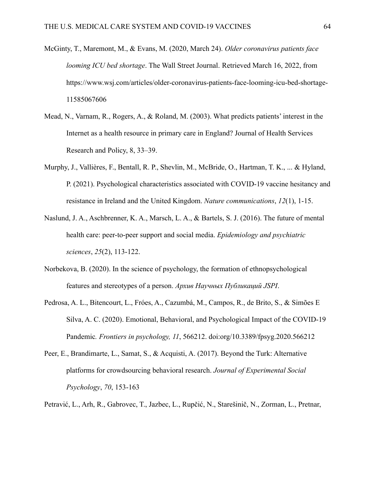- McGinty, T., Maremont, M., & Evans, M. (2020, March 24). *Older coronavirus patients face looming ICU bed shortage*. The Wall Street Journal. Retrieved March 16, 2022, from https://www.wsj.com/articles/older-coronavirus-patients-face-looming-icu-bed-shortage-11585067606
- Mead, N., Varnam, R., Rogers, A., & Roland, M. (2003). What predicts patients' interest in the Internet as a health resource in primary care in England? Journal of Health Services Research and Policy, 8, 33–39.
- Murphy, J., Vallières, F., Bentall, R. P., Shevlin, M., McBride, O., Hartman, T. K., ... & Hyland, P. (2021). Psychological characteristics associated with COVID-19 vaccine hesitancy and resistance in Ireland and the United Kingdom. *Nature communications*, *12*(1), 1-15.
- Naslund, J. A., Aschbrenner, K. A., Marsch, L. A., & Bartels, S. J. (2016). The future of mental health care: peer-to-peer support and social media. *Epidemiology and psychiatric sciences*, *25*(2), 113-122.
- Norbekova, B. (2020). In the science of psychology, the formation of ethnopsychological features and stereotypes of a person. *Архив Научных Публикаций JSPI*.
- Pedrosa, A. L., Bitencourt, L., Fróes, A., Cazumbá, M., Campos, R., de Brito, S., & Simões E Silva, A. C. (2020). Emotional, Behavioral, and Psychological Impact of the COVID-19 Pandemic*. Frontiers in psychology, 11*, 566212. doi:org/10.3389/fpsyg.2020.566212
- Peer, E., Brandimarte, L., Samat, S., & Acquisti, A. (2017). Beyond the Turk: Alternative platforms for crowdsourcing behavioral research. *Journal of Experimental Social Psychology*, *70*, 153-163
- Petravić, L., Arh, R., Gabrovec, T., Jazbec, L., Rupčić, N., Starešinič, N., Zorman, L., Pretnar,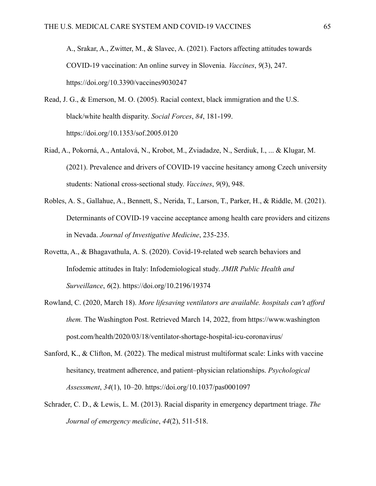A., Srakar, A., Zwitter, M., & Slavec, A. (2021). Factors affecting attitudes towards COVID-19 vaccination: An online survey in Slovenia. *Vaccines*, *9*(3), 247. https://doi.org/10.3390/vaccines9030247

- Read, J. G., & Emerson, M. O. (2005). Racial context, black immigration and the U.S. black/white health disparity. *Social Forces*, *84*, 181-199. https://doi.org/10.1353/sof.2005.0120
- Riad, A., Pokorná, A., Antalová, N., Krobot, M., Zviadadze, N., Serdiuk, I., ... & Klugar, M. (2021). Prevalence and drivers of COVID-19 vaccine hesitancy among Czech university students: National cross-sectional study. *Vaccines*, *9*(9), 948.
- Robles, A. S., Gallahue, A., Bennett, S., Nerida, T., Larson, T., Parker, H., & Riddle, M. (2021). Determinants of COVID-19 vaccine acceptance among health care providers and citizens in Nevada. *Journal of Investigative Medicine*, 235-235.
- Rovetta, A., & Bhagavathula, A. S. (2020). Covid-19-related web search behaviors and Infodemic attitudes in Italy: Infodemiological study. *JMIR Public Health and Surveillance*, *6*(2). https://doi.org/10.2196/19374
- Rowland, C. (2020, March 18). *More lifesaving ventilators are available. hospitals can't afford them.* The Washington Post. Retrieved March 14, 2022, from https://www.washington post.com/health/2020/03/18/ventilator-shortage-hospital-icu-coronavirus/
- Sanford, K., & Clifton, M. (2022). The medical mistrust multiformat scale: Links with vaccine hesitancy, treatment adherence, and patient–physician relationships. *Psychological Assessment*, *34*(1), 10–20. https://doi.org/10.1037/pas0001097
- Schrader, C. D., & Lewis, L. M. (2013). Racial disparity in emergency department triage. *The Journal of emergency medicine*, *44*(2), 511-518.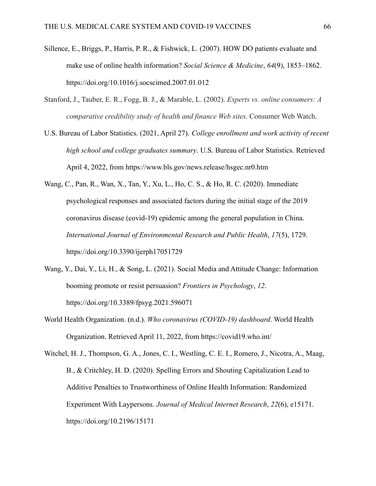- Sillence, E., Briggs, P., Harris, P. R., & Fishwick, L. (2007). HOW DO patients evaluate and make use of online health information? *Social Science & Medicine*, *64*(9), 1853–1862. https://doi.org/10.1016/j.socscimed.2007.01.012
- Stanford, J., Tauber, E. R., Fogg, B. J., & Marable, L. (2002). *Experts vs. online consumers: A comparative credibility study of health and finance Web sites*. Consumer Web Watch.
- U.S. Bureau of Labor Statistics. (2021, April 27). *College enrollment and work activity of recent high school and college graduates summary*. U.S. Bureau of Labor Statistics. Retrieved April 4, 2022, from https://www.bls.gov/news.release/hsgec.nr0.htm
- Wang, C., Pan, R., Wan, X., Tan, Y., Xu, L., Ho, C. S., & Ho, R. C. (2020). Immediate psychological responses and associated factors during the initial stage of the 2019 coronavirus disease (covid-19) epidemic among the general population in China. *International Journal of Environmental Research and Public Health*, *17*(5), 1729. https://doi.org/10.3390/ijerph17051729
- Wang, Y., Dai, Y., Li, H., & Song, L. (2021). Social Media and Attitude Change: Information booming promote or resist persuasion? *Frontiers in Psychology*, *12*. https://doi.org/10.3389/fpsyg.2021.596071
- World Health Organization. (n.d.). *Who coronavirus (COVID-19) dashboard*. World Health Organization. Retrieved April 11, 2022, from https://covid19.who.int/

Witchel, H. J., Thompson, G. A., Jones, C. I., Westling, C. E. I., Romero, J., Nicotra, A., Maag, B., & Critchley, H. D. (2020). Spelling Errors and Shouting Capitalization Lead to Additive Penalties to Trustworthiness of Online Health Information: Randomized Experiment With Laypersons. *Journal of Medical Internet Research*, *22*(6), e15171. https://doi.org/10.2196/15171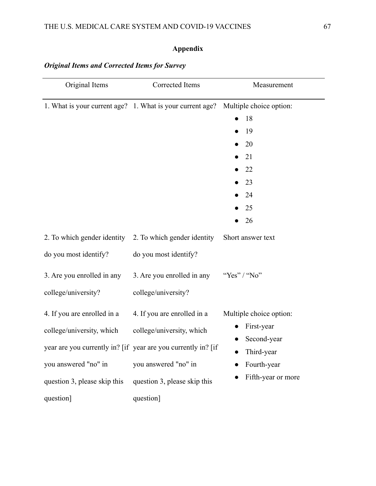## **Appendix**

| Original Items                                                                                                                        | Corrected Items                                                                                                                                                                                | Measurement                                                                                             |
|---------------------------------------------------------------------------------------------------------------------------------------|------------------------------------------------------------------------------------------------------------------------------------------------------------------------------------------------|---------------------------------------------------------------------------------------------------------|
| 1. What is your current age? 1. What is your current age?                                                                             |                                                                                                                                                                                                | Multiple choice option:<br>18<br>19<br>20<br>21<br>22<br>23<br>24<br>25<br>26                           |
| 2. To which gender identity 2. To which gender identity<br>do you most identify?<br>3. Are you enrolled in any<br>college/university? | do you most identify?<br>3. Are you enrolled in any<br>college/university?                                                                                                                     | Short answer text<br>"Yes" / "No"                                                                       |
| 4. If you are enrolled in a<br>college/university, which<br>you answered "no" in<br>question 3, please skip this<br>question]         | 4. If you are enrolled in a<br>college/university, which<br>year are you currently in? [if year are you currently in? [if<br>you answered "no" in<br>question 3, please skip this<br>question] | Multiple choice option:<br>First-year<br>Second-year<br>Third-year<br>Fourth-year<br>Fifth-year or more |

## *Original Items and Corrected Items for Survey*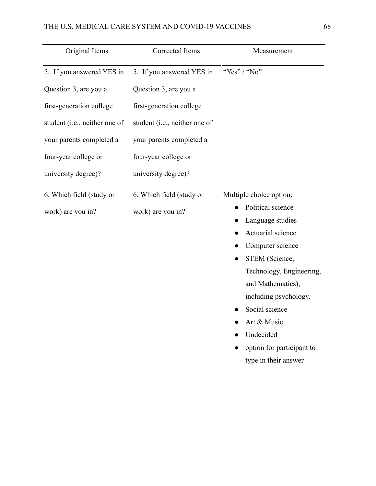## THE U.S. MEDICAL CARE SYSTEM AND COVID-19 VACCINES 68

| Original Items                | Corrected Items               | Measurement                           |
|-------------------------------|-------------------------------|---------------------------------------|
| 5. If you answered YES in     | 5. If you answered YES in     | "Yes" / "No"                          |
| Question 3, are you a         | Question 3, are you a         |                                       |
| first-generation college      | first-generation college      |                                       |
| student (i.e., neither one of | student (i.e., neither one of |                                       |
| your parents completed a      | your parents completed a      |                                       |
| four-year college or          | four-year college or          |                                       |
| university degree)?           | university degree)?           |                                       |
| 6. Which field (study or      | 6. Which field (study or      | Multiple choice option:               |
| work) are you in?             | work) are you in?             | Political science                     |
|                               |                               | Language studies<br>Actuarial science |
|                               |                               | Computer science                      |
|                               |                               | STEM (Science,                        |
|                               |                               | Technology, Engineering,              |
|                               |                               | and Mathematics),                     |
|                               |                               | including psychology.                 |
|                               |                               | Social science                        |
|                               |                               | Art & Music                           |
|                               |                               | Undecided                             |
|                               |                               | option for participant to             |
|                               |                               | type in their answer                  |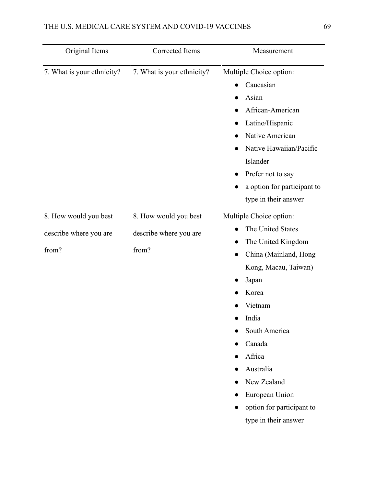| Original Items                                           | Corrected Items                                          | Measurement                                                                                                                                                                                                                                                                                                                      |
|----------------------------------------------------------|----------------------------------------------------------|----------------------------------------------------------------------------------------------------------------------------------------------------------------------------------------------------------------------------------------------------------------------------------------------------------------------------------|
| 7. What is your ethnicity?                               | 7. What is your ethnicity?                               | Multiple Choice option:<br>Caucasian<br>Asian<br>African-American<br>Latino/Hispanic<br>Native American<br>Native Hawaiian/Pacific<br>Islander<br>Prefer not to say<br>$\bullet$<br>a option for participant to<br>type in their answer                                                                                          |
| 8. How would you best<br>describe where you are<br>from? | 8. How would you best<br>describe where you are<br>from? | Multiple Choice option:<br>The United States<br>The United Kingdom<br>0<br>China (Mainland, Hong<br>$\bullet$<br>Kong, Macau, Taiwan)<br>Japan<br>Korea<br>Vietnam<br>India<br>South America<br>Canada<br>Africa<br>Australia<br>New Zealand<br>European Union<br>$\bullet$<br>option for participant to<br>type in their answer |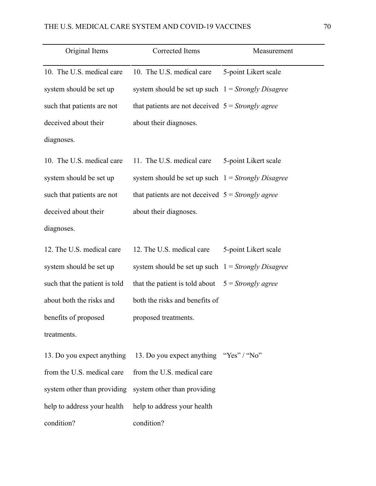| Original Items                | Corrected Items                                      | Measurement          |
|-------------------------------|------------------------------------------------------|----------------------|
| 10. The U.S. medical care     | 10. The U.S. medical care                            | 5-point Likert scale |
| system should be set up       | system should be set up such $1 =$ Strongly Disagree |                      |
| such that patients are not    | that patients are not deceived $5 =$ Strongly agree  |                      |
| deceived about their          | about their diagnoses.                               |                      |
| diagnoses.                    |                                                      |                      |
| 10. The U.S. medical care     | 11. The U.S. medical care                            | 5-point Likert scale |
| system should be set up       | system should be set up such $1 =$ Strongly Disagree |                      |
| such that patients are not    | that patients are not deceived $5 =$ Strongly agree  |                      |
| deceived about their          | about their diagnoses.                               |                      |
| diagnoses.                    |                                                      |                      |
| 12. The U.S. medical care     | 12. The U.S. medical care                            | 5-point Likert scale |
| system should be set up       | system should be set up such $1 =$ Strongly Disagree |                      |
| such that the patient is told | that the patient is told about                       | $5 =$ Strongly agree |
| about both the risks and      | both the risks and benefits of                       |                      |
| benefits of proposed          | proposed treatments.                                 |                      |
| treatments.                   |                                                      |                      |
| 13. Do you expect anything    | 13. Do you expect anything "Yes" / "No"              |                      |
| from the U.S. medical care    | from the U.S. medical care                           |                      |
| system other than providing   | system other than providing                          |                      |
| help to address your health   | help to address your health                          |                      |
| condition?                    | condition?                                           |                      |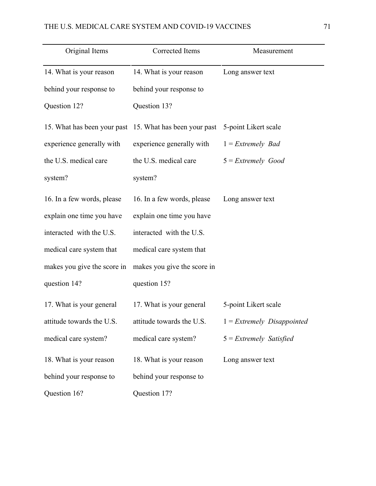| Original Items              | Corrected Items             | Measurement                  |
|-----------------------------|-----------------------------|------------------------------|
| 14. What is your reason     | 14. What is your reason     | Long answer text             |
| behind your response to     | behind your response to     |                              |
| Question 12?                | Question 13?                |                              |
| 15. What has been your past | 15. What has been your past | 5-point Likert scale         |
| experience generally with   | experience generally with   | $1$ = Extremely Bad          |
| the U.S. medical care       | the U.S. medical care       | $5$ = Extremely Good         |
| system?                     | system?                     |                              |
| 16. In a few words, please  | 16. In a few words, please  | Long answer text             |
| explain one time you have   | explain one time you have   |                              |
| interacted with the U.S.    | interacted with the U.S.    |                              |
| medical care system that    | medical care system that    |                              |
| makes you give the score in | makes you give the score in |                              |
| question 14?                | question 15?                |                              |
| 17. What is your general    | 17. What is your general    | 5-point Likert scale         |
| attitude towards the U.S.   | attitude towards the U.S.   | $1$ = Extremely Disappointed |
| medical care system?        | medical care system?        | $5$ = Extremely Satisfied    |
| 18. What is your reason     | 18. What is your reason     | Long answer text             |
| behind your response to     | behind your response to     |                              |
| Question 16?                | Question 17?                |                              |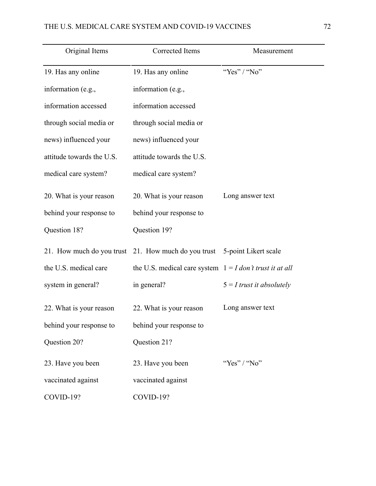| Original Items            | Corrected Items                                            | Measurement                 |
|---------------------------|------------------------------------------------------------|-----------------------------|
| 19. Has any online        | 19. Has any online                                         | "Yes" / "No"                |
| information (e.g.,        | information (e.g.,                                         |                             |
| information accessed      | information accessed                                       |                             |
| through social media or   | through social media or                                    |                             |
| news) influenced your     | news) influenced your                                      |                             |
| attitude towards the U.S. | attitude towards the U.S.                                  |                             |
| medical care system?      | medical care system?                                       |                             |
| 20. What is your reason   | 20. What is your reason                                    | Long answer text            |
| behind your response to   | behind your response to                                    |                             |
| Question 18?              | Question 19?                                               |                             |
| 21. How much do you trust | 21. How much do you trust                                  | 5-point Likert scale        |
| the U.S. medical care     | the U.S. medical care system $1 = I$ don't trust it at all |                             |
| system in general?        | in general?                                                | $5 = I$ trust it absolutely |
| 22. What is your reason   | 22. What is your reason                                    | Long answer text            |
| behind your response to   | behind your response to                                    |                             |
| Question 20?              | Question 21?                                               |                             |
| 23. Have you been         | 23. Have you been                                          | "Yes" / "No"                |
| vaccinated against        | vaccinated against                                         |                             |
| COVID-19?                 | COVID-19?                                                  |                             |